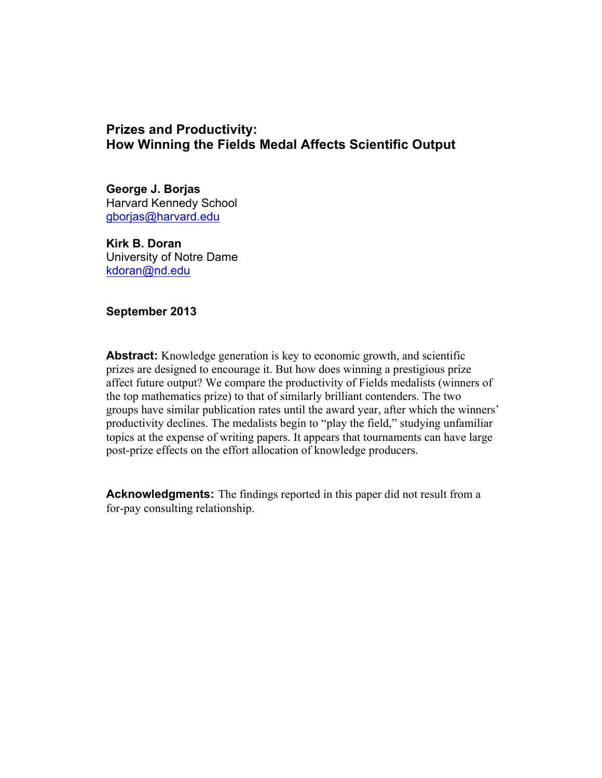# **Prizes and Productivity: How Winning the Fields Medal Affects Scientific Output**

**George J. Borjas** Harvard Kennedy School gborjas@harvard.edu

**Kirk B. Doran** University of Notre Dame kdoran@nd.edu

**September 2013**

**Abstract:** Knowledge generation is key to economic growth, and scientific prizes are designed to encourage it. But how does winning a prestigious prize affect future output? We compare the productivity of Fields medalists (winners of the top mathematics prize) to that of similarly brilliant contenders. The two groups have similar publication rates until the award year, after which the winners' productivity declines. The medalists begin to "play the field," studying unfamiliar topics at the expense of writing papers. It appears that tournaments can have large post-prize effects on the effort allocation of knowledge producers.

**Acknowledgments:** The findings reported in this paper did not result from a for-pay consulting relationship.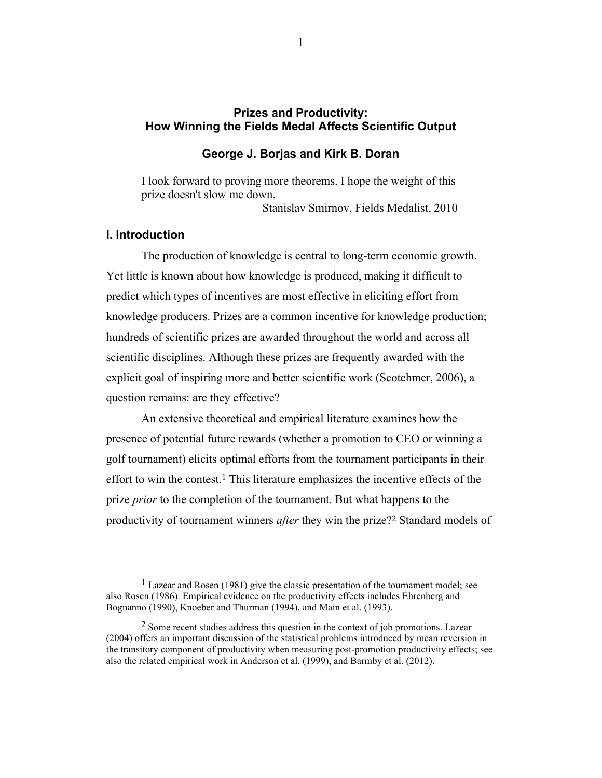## **Prizes and Productivity: How Winning the Fields Medal Affects Scientific Output**

### **George J. Borjas and Kirk B. Doran**

I look forward to proving more theorems. I hope the weight of this prize doesn't slow me down.

—Stanislav Smirnov, Fields Medalist, 2010

### **I. Introduction**

 

The production of knowledge is central to long-term economic growth. Yet little is known about how knowledge is produced, making it difficult to predict which types of incentives are most effective in eliciting effort from knowledge producers. Prizes are a common incentive for knowledge production; hundreds of scientific prizes are awarded throughout the world and across all scientific disciplines. Although these prizes are frequently awarded with the explicit goal of inspiring more and better scientific work (Scotchmer, 2006), a question remains: are they effective?

An extensive theoretical and empirical literature examines how the presence of potential future rewards (whether a promotion to CEO or winning a golf tournament) elicits optimal efforts from the tournament participants in their effort to win the contest. 1 This literature emphasizes the incentive effects of the prize *prior* to the completion of the tournament. But what happens to the productivity of tournament winners *after* they win the prize?2 Standard models of

<sup>1</sup> Lazear and Rosen (1981) give the classic presentation of the tournament model; see also Rosen (1986). Empirical evidence on the productivity effects includes Ehrenberg and Bognanno (1990), Knoeber and Thurman (1994), and Main et al. (1993).

<sup>&</sup>lt;sup>2</sup> Some recent studies address this question in the context of job promotions. Lazear (2004) offers an important discussion of the statistical problems introduced by mean reversion in the transitory component of productivity when measuring post-promotion productivity effects; see also the related empirical work in Anderson et al. (1999), and Barmby et al. (2012).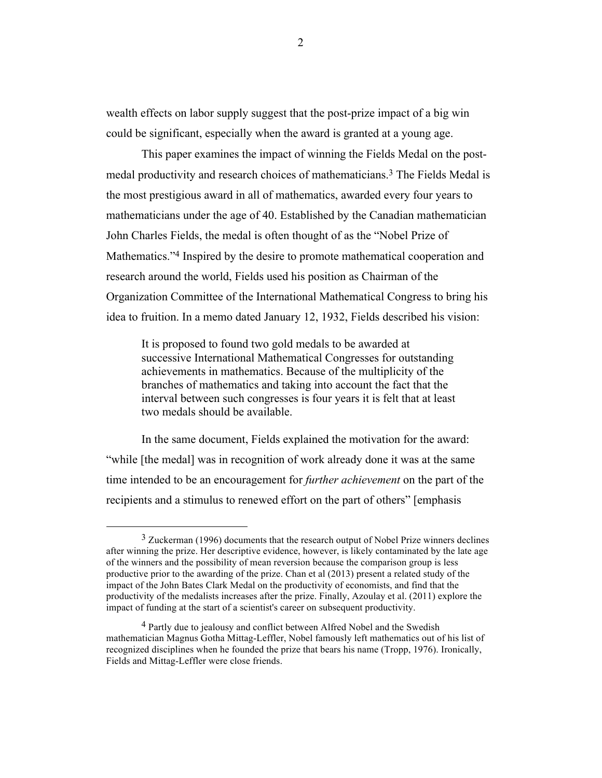wealth effects on labor supply suggest that the post-prize impact of a big win could be significant, especially when the award is granted at a young age.

This paper examines the impact of winning the Fields Medal on the postmedal productivity and research choices of mathematicians.3 The Fields Medal is the most prestigious award in all of mathematics, awarded every four years to mathematicians under the age of 40. Established by the Canadian mathematician John Charles Fields, the medal is often thought of as the "Nobel Prize of Mathematics."<sup>4</sup> Inspired by the desire to promote mathematical cooperation and research around the world, Fields used his position as Chairman of the Organization Committee of the International Mathematical Congress to bring his idea to fruition. In a memo dated January 12, 1932, Fields described his vision:

It is proposed to found two gold medals to be awarded at successive International Mathematical Congresses for outstanding achievements in mathematics. Because of the multiplicity of the branches of mathematics and taking into account the fact that the interval between such congresses is four years it is felt that at least two medals should be available.

In the same document, Fields explained the motivation for the award: "while [the medal] was in recognition of work already done it was at the same time intended to be an encouragement for *further achievement* on the part of the recipients and a stimulus to renewed effort on the part of others" [emphasis

<sup>3</sup> Zuckerman (1996) documents that the research output of Nobel Prize winners declines after winning the prize. Her descriptive evidence, however, is likely contaminated by the late age of the winners and the possibility of mean reversion because the comparison group is less productive prior to the awarding of the prize. Chan et al (2013) present a related study of the impact of the John Bates Clark Medal on the productivity of economists, and find that the productivity of the medalists increases after the prize. Finally, Azoulay et al. (2011) explore the impact of funding at the start of a scientist's career on subsequent productivity.

<sup>&</sup>lt;sup>4</sup> Partly due to jealousy and conflict between Alfred Nobel and the Swedish mathematician Magnus Gotha Mittag-Leffler, Nobel famously left mathematics out of his list of recognized disciplines when he founded the prize that bears his name (Tropp, 1976). Ironically, Fields and Mittag-Leffler were close friends.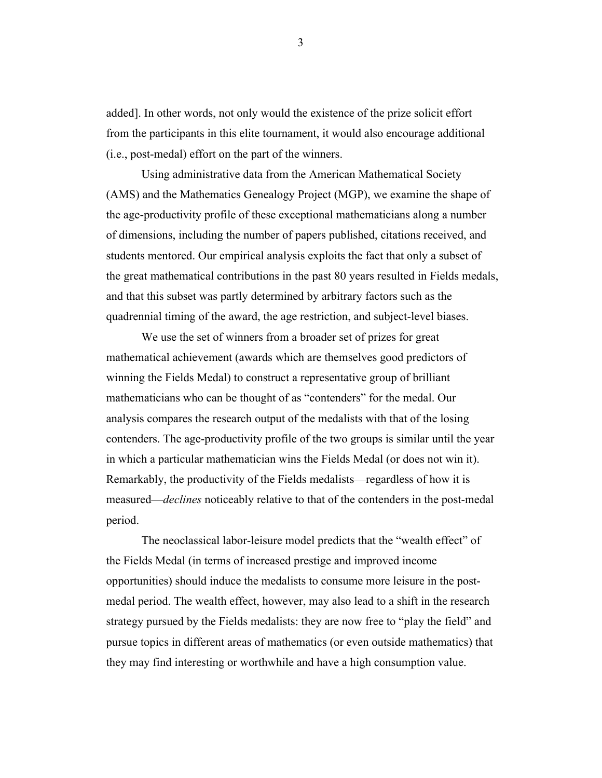added]. In other words, not only would the existence of the prize solicit effort from the participants in this elite tournament, it would also encourage additional (i.e., post-medal) effort on the part of the winners.

Using administrative data from the American Mathematical Society (AMS) and the Mathematics Genealogy Project (MGP), we examine the shape of the age-productivity profile of these exceptional mathematicians along a number of dimensions, including the number of papers published, citations received, and students mentored. Our empirical analysis exploits the fact that only a subset of the great mathematical contributions in the past 80 years resulted in Fields medals, and that this subset was partly determined by arbitrary factors such as the quadrennial timing of the award, the age restriction, and subject-level biases.

We use the set of winners from a broader set of prizes for great mathematical achievement (awards which are themselves good predictors of winning the Fields Medal) to construct a representative group of brilliant mathematicians who can be thought of as "contenders" for the medal. Our analysis compares the research output of the medalists with that of the losing contenders. The age-productivity profile of the two groups is similar until the year in which a particular mathematician wins the Fields Medal (or does not win it). Remarkably, the productivity of the Fields medalists—regardless of how it is measured—*declines* noticeably relative to that of the contenders in the post-medal period.

The neoclassical labor-leisure model predicts that the "wealth effect" of the Fields Medal (in terms of increased prestige and improved income opportunities) should induce the medalists to consume more leisure in the postmedal period. The wealth effect, however, may also lead to a shift in the research strategy pursued by the Fields medalists: they are now free to "play the field" and pursue topics in different areas of mathematics (or even outside mathematics) that they may find interesting or worthwhile and have a high consumption value.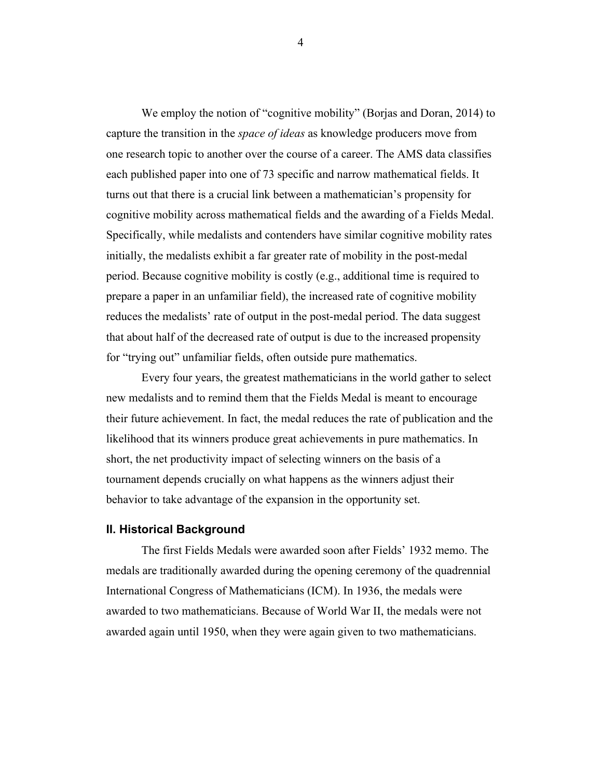We employ the notion of "cognitive mobility" (Borjas and Doran, 2014) to capture the transition in the *space of ideas* as knowledge producers move from one research topic to another over the course of a career. The AMS data classifies each published paper into one of 73 specific and narrow mathematical fields. It turns out that there is a crucial link between a mathematician's propensity for cognitive mobility across mathematical fields and the awarding of a Fields Medal. Specifically, while medalists and contenders have similar cognitive mobility rates initially, the medalists exhibit a far greater rate of mobility in the post-medal period. Because cognitive mobility is costly (e.g., additional time is required to prepare a paper in an unfamiliar field), the increased rate of cognitive mobility reduces the medalists' rate of output in the post-medal period. The data suggest that about half of the decreased rate of output is due to the increased propensity for "trying out" unfamiliar fields, often outside pure mathematics.

Every four years, the greatest mathematicians in the world gather to select new medalists and to remind them that the Fields Medal is meant to encourage their future achievement. In fact, the medal reduces the rate of publication and the likelihood that its winners produce great achievements in pure mathematics. In short, the net productivity impact of selecting winners on the basis of a tournament depends crucially on what happens as the winners adjust their behavior to take advantage of the expansion in the opportunity set.

#### **II. Historical Background**

The first Fields Medals were awarded soon after Fields' 1932 memo. The medals are traditionally awarded during the opening ceremony of the quadrennial International Congress of Mathematicians (ICM). In 1936, the medals were awarded to two mathematicians. Because of World War II, the medals were not awarded again until 1950, when they were again given to two mathematicians.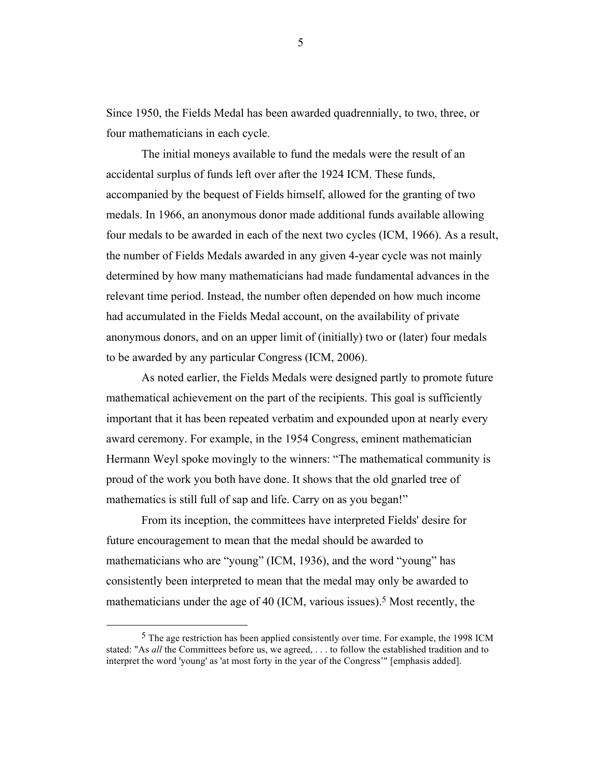Since 1950, the Fields Medal has been awarded quadrennially, to two, three, or four mathematicians in each cycle.

The initial moneys available to fund the medals were the result of an accidental surplus of funds left over after the 1924 ICM. These funds, accompanied by the bequest of Fields himself, allowed for the granting of two medals. In 1966, an anonymous donor made additional funds available allowing four medals to be awarded in each of the next two cycles (ICM, 1966). As a result, the number of Fields Medals awarded in any given 4-year cycle was not mainly determined by how many mathematicians had made fundamental advances in the relevant time period. Instead, the number often depended on how much income had accumulated in the Fields Medal account, on the availability of private anonymous donors, and on an upper limit of (initially) two or (later) four medals to be awarded by any particular Congress (ICM, 2006).

As noted earlier, the Fields Medals were designed partly to promote future mathematical achievement on the part of the recipients. This goal is sufficiently important that it has been repeated verbatim and expounded upon at nearly every award ceremony. For example, in the 1954 Congress, eminent mathematician Hermann Weyl spoke movingly to the winners: "The mathematical community is proud of the work you both have done. It shows that the old gnarled tree of mathematics is still full of sap and life. Carry on as you began!"

From its inception, the committees have interpreted Fields' desire for future encouragement to mean that the medal should be awarded to mathematicians who are "young" (ICM, 1936), and the word "young" has consistently been interpreted to mean that the medal may only be awarded to mathematicians under the age of 40 (ICM, various issues).<sup>5</sup> Most recently, the

 

<sup>5</sup> The age restriction has been applied consistently over time. For example, the 1998 ICM stated: "As *all* the Committees before us, we agreed, . . . to follow the established tradition and to interpret the word 'young' as 'at most forty in the year of the Congress'" [emphasis added].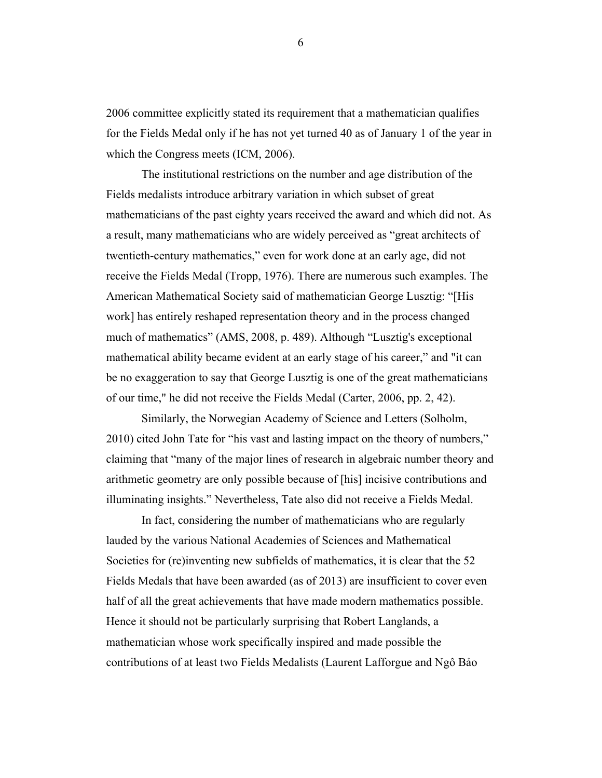2006 committee explicitly stated its requirement that a mathematician qualifies for the Fields Medal only if he has not yet turned 40 as of January 1 of the year in which the Congress meets (ICM, 2006).

The institutional restrictions on the number and age distribution of the Fields medalists introduce arbitrary variation in which subset of great mathematicians of the past eighty years received the award and which did not. As a result, many mathematicians who are widely perceived as "great architects of twentieth-century mathematics," even for work done at an early age, did not receive the Fields Medal (Tropp, 1976). There are numerous such examples. The American Mathematical Society said of mathematician George Lusztig: "[His work] has entirely reshaped representation theory and in the process changed much of mathematics" (AMS, 2008, p. 489). Although "Lusztig's exceptional mathematical ability became evident at an early stage of his career," and "it can be no exaggeration to say that George Lusztig is one of the great mathematicians of our time," he did not receive the Fields Medal (Carter, 2006, pp. 2, 42).

Similarly, the Norwegian Academy of Science and Letters (Solholm, 2010) cited John Tate for "his vast and lasting impact on the theory of numbers," claiming that "many of the major lines of research in algebraic number theory and arithmetic geometry are only possible because of [his] incisive contributions and illuminating insights." Nevertheless, Tate also did not receive a Fields Medal.

In fact, considering the number of mathematicians who are regularly lauded by the various National Academies of Sciences and Mathematical Societies for (re)inventing new subfields of mathematics, it is clear that the 52 Fields Medals that have been awarded (as of 2013) are insufficient to cover even half of all the great achievements that have made modern mathematics possible. Hence it should not be particularly surprising that Robert Langlands, a mathematician whose work specifically inspired and made possible the contributions of at least two Fields Medalists (Laurent Lafforgue and Ngô Bảo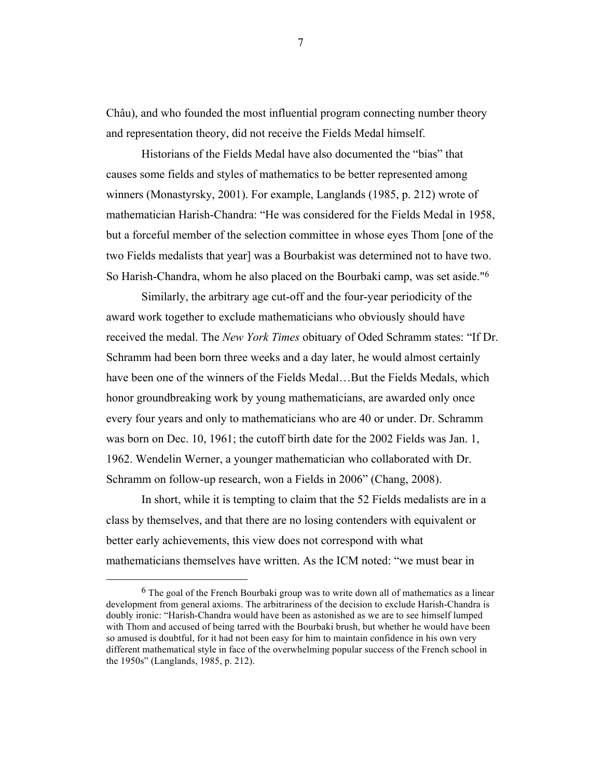Châu), and who founded the most influential program connecting number theory and representation theory, did not receive the Fields Medal himself.

Historians of the Fields Medal have also documented the "bias" that causes some fields and styles of mathematics to be better represented among winners (Monastyrsky, 2001). For example, Langlands (1985, p. 212) wrote of mathematician Harish-Chandra: "He was considered for the Fields Medal in 1958, but a forceful member of the selection committee in whose eyes Thom [one of the two Fields medalists that year] was a Bourbakist was determined not to have two. So Harish-Chandra, whom he also placed on the Bourbaki camp, was set aside."6

Similarly, the arbitrary age cut-off and the four-year periodicity of the award work together to exclude mathematicians who obviously should have received the medal. The *New York Times* obituary of Oded Schramm states: "If Dr. Schramm had been born three weeks and a day later, he would almost certainly have been one of the winners of the Fields Medal…But the Fields Medals, which honor groundbreaking work by young mathematicians, are awarded only once every four years and only to mathematicians who are 40 or under. Dr. Schramm was born on Dec. 10, 1961; the cutoff birth date for the 2002 Fields was Jan. 1, 1962. Wendelin Werner, a younger mathematician who collaborated with Dr. Schramm on follow-up research, won a Fields in 2006" (Chang, 2008).

In short, while it is tempting to claim that the 52 Fields medalists are in a class by themselves, and that there are no losing contenders with equivalent or better early achievements, this view does not correspond with what mathematicians themselves have written. As the ICM noted: "we must bear in

 

<sup>&</sup>lt;sup>6</sup> The goal of the French Bourbaki group was to write down all of mathematics as a linear development from general axioms. The arbitrariness of the decision to exclude Harish-Chandra is doubly ironic: "Harish-Chandra would have been as astonished as we are to see himself lumped with Thom and accused of being tarred with the Bourbaki brush, but whether he would have been so amused is doubtful, for it had not been easy for him to maintain confidence in his own very different mathematical style in face of the overwhelming popular success of the French school in the 1950s" (Langlands, 1985, p. 212).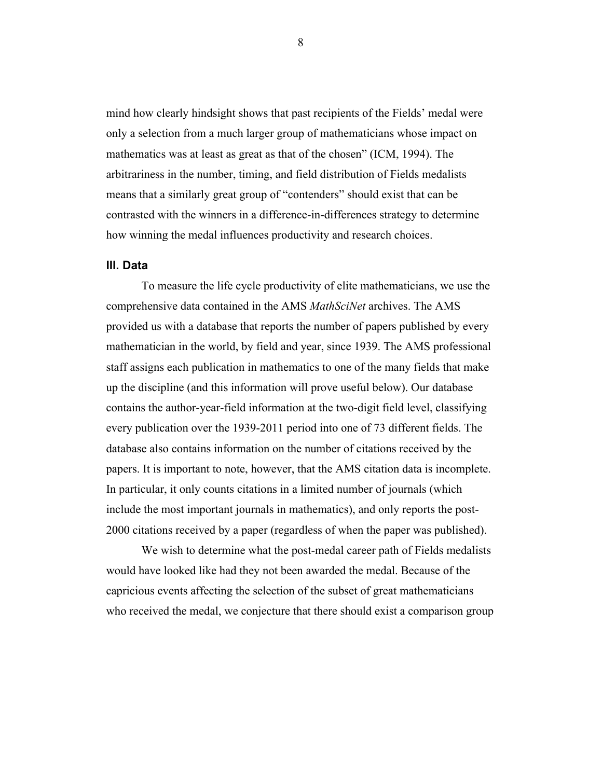mind how clearly hindsight shows that past recipients of the Fields' medal were only a selection from a much larger group of mathematicians whose impact on mathematics was at least as great as that of the chosen" (ICM, 1994). The arbitrariness in the number, timing, and field distribution of Fields medalists means that a similarly great group of "contenders" should exist that can be contrasted with the winners in a difference-in-differences strategy to determine how winning the medal influences productivity and research choices.

### **III. Data**

To measure the life cycle productivity of elite mathematicians, we use the comprehensive data contained in the AMS *MathSciNet* archives. The AMS provided us with a database that reports the number of papers published by every mathematician in the world, by field and year, since 1939. The AMS professional staff assigns each publication in mathematics to one of the many fields that make up the discipline (and this information will prove useful below). Our database contains the author-year-field information at the two-digit field level, classifying every publication over the 1939-2011 period into one of 73 different fields. The database also contains information on the number of citations received by the papers. It is important to note, however, that the AMS citation data is incomplete. In particular, it only counts citations in a limited number of journals (which include the most important journals in mathematics), and only reports the post-2000 citations received by a paper (regardless of when the paper was published).

We wish to determine what the post-medal career path of Fields medalists would have looked like had they not been awarded the medal. Because of the capricious events affecting the selection of the subset of great mathematicians who received the medal, we conjecture that there should exist a comparison group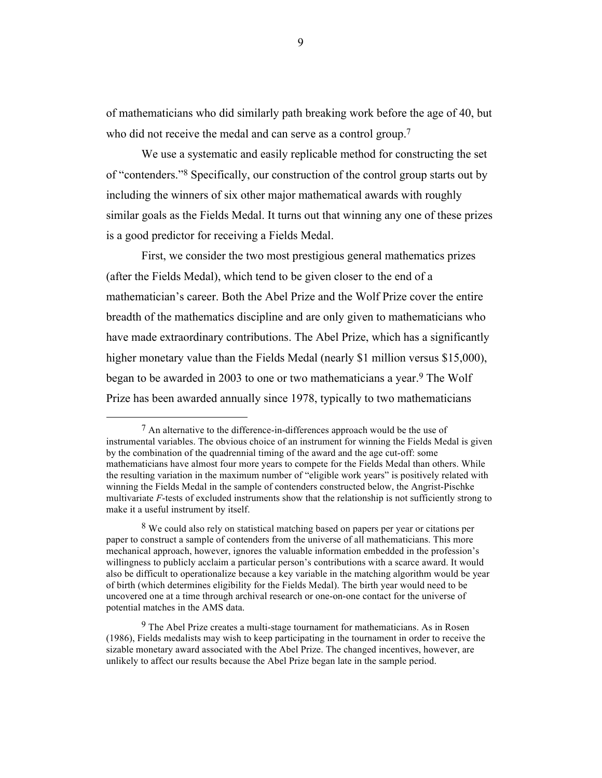of mathematicians who did similarly path breaking work before the age of 40, but who did not receive the medal and can serve as a control group.<sup>7</sup>

We use a systematic and easily replicable method for constructing the set of "contenders."8 Specifically, our construction of the control group starts out by including the winners of six other major mathematical awards with roughly similar goals as the Fields Medal. It turns out that winning any one of these prizes is a good predictor for receiving a Fields Medal.

First, we consider the two most prestigious general mathematics prizes (after the Fields Medal), which tend to be given closer to the end of a mathematician's career. Both the Abel Prize and the Wolf Prize cover the entire breadth of the mathematics discipline and are only given to mathematicians who have made extraordinary contributions. The Abel Prize, which has a significantly higher monetary value than the Fields Medal (nearly \$1 million versus \$15,000), began to be awarded in 2003 to one or two mathematicians a year.9 The Wolf Prize has been awarded annually since 1978, typically to two mathematicians

 $7$  An alternative to the difference-in-differences approach would be the use of instrumental variables. The obvious choice of an instrument for winning the Fields Medal is given by the combination of the quadrennial timing of the award and the age cut-off: some mathematicians have almost four more years to compete for the Fields Medal than others. While the resulting variation in the maximum number of "eligible work years" is positively related with winning the Fields Medal in the sample of contenders constructed below, the Angrist-Pischke multivariate *F*-tests of excluded instruments show that the relationship is not sufficiently strong to make it a useful instrument by itself.

<sup>8</sup> We could also rely on statistical matching based on papers per year or citations per paper to construct a sample of contenders from the universe of all mathematicians. This more mechanical approach, however, ignores the valuable information embedded in the profession's willingness to publicly acclaim a particular person's contributions with a scarce award. It would also be difficult to operationalize because a key variable in the matching algorithm would be year of birth (which determines eligibility for the Fields Medal). The birth year would need to be uncovered one at a time through archival research or one-on-one contact for the universe of potential matches in the AMS data.

 $9$  The Abel Prize creates a multi-stage tournament for mathematicians. As in Rosen (1986), Fields medalists may wish to keep participating in the tournament in order to receive the sizable monetary award associated with the Abel Prize. The changed incentives, however, are unlikely to affect our results because the Abel Prize began late in the sample period.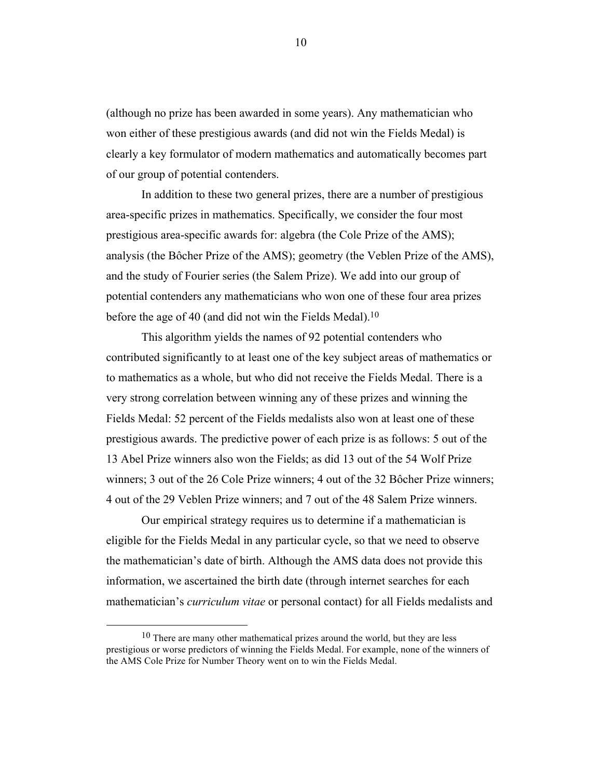(although no prize has been awarded in some years). Any mathematician who won either of these prestigious awards (and did not win the Fields Medal) is clearly a key formulator of modern mathematics and automatically becomes part of our group of potential contenders.

In addition to these two general prizes, there are a number of prestigious area-specific prizes in mathematics. Specifically, we consider the four most prestigious area-specific awards for: algebra (the Cole Prize of the AMS); analysis (the Bôcher Prize of the AMS); geometry (the Veblen Prize of the AMS), and the study of Fourier series (the Salem Prize). We add into our group of potential contenders any mathematicians who won one of these four area prizes before the age of 40 (and did not win the Fields Medal).<sup>10</sup>

This algorithm yields the names of 92 potential contenders who contributed significantly to at least one of the key subject areas of mathematics or to mathematics as a whole, but who did not receive the Fields Medal. There is a very strong correlation between winning any of these prizes and winning the Fields Medal: 52 percent of the Fields medalists also won at least one of these prestigious awards. The predictive power of each prize is as follows: 5 out of the 13 Abel Prize winners also won the Fields; as did 13 out of the 54 Wolf Prize winners; 3 out of the 26 Cole Prize winners; 4 out of the 32 Bôcher Prize winners; 4 out of the 29 Veblen Prize winners; and 7 out of the 48 Salem Prize winners.

Our empirical strategy requires us to determine if a mathematician is eligible for the Fields Medal in any particular cycle, so that we need to observe the mathematician's date of birth. Although the AMS data does not provide this information, we ascertained the birth date (through internet searches for each mathematician's *curriculum vitae* or personal contact) for all Fields medalists and

<sup>&</sup>lt;sup>10</sup> There are many other mathematical prizes around the world, but they are less prestigious or worse predictors of winning the Fields Medal. For example, none of the winners of the AMS Cole Prize for Number Theory went on to win the Fields Medal.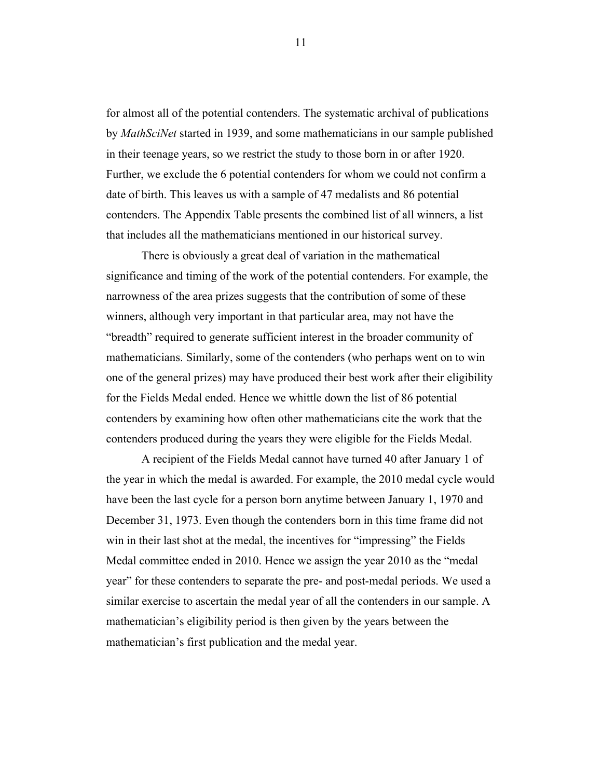for almost all of the potential contenders. The systematic archival of publications by *MathSciNet* started in 1939, and some mathematicians in our sample published in their teenage years, so we restrict the study to those born in or after 1920. Further, we exclude the 6 potential contenders for whom we could not confirm a date of birth. This leaves us with a sample of 47 medalists and 86 potential contenders. The Appendix Table presents the combined list of all winners, a list that includes all the mathematicians mentioned in our historical survey.

There is obviously a great deal of variation in the mathematical significance and timing of the work of the potential contenders. For example, the narrowness of the area prizes suggests that the contribution of some of these winners, although very important in that particular area, may not have the "breadth" required to generate sufficient interest in the broader community of mathematicians. Similarly, some of the contenders (who perhaps went on to win one of the general prizes) may have produced their best work after their eligibility for the Fields Medal ended. Hence we whittle down the list of 86 potential contenders by examining how often other mathematicians cite the work that the contenders produced during the years they were eligible for the Fields Medal.

A recipient of the Fields Medal cannot have turned 40 after January 1 of the year in which the medal is awarded. For example, the 2010 medal cycle would have been the last cycle for a person born anytime between January 1, 1970 and December 31, 1973. Even though the contenders born in this time frame did not win in their last shot at the medal, the incentives for "impressing" the Fields Medal committee ended in 2010. Hence we assign the year 2010 as the "medal year" for these contenders to separate the pre- and post-medal periods. We used a similar exercise to ascertain the medal year of all the contenders in our sample. A mathematician's eligibility period is then given by the years between the mathematician's first publication and the medal year.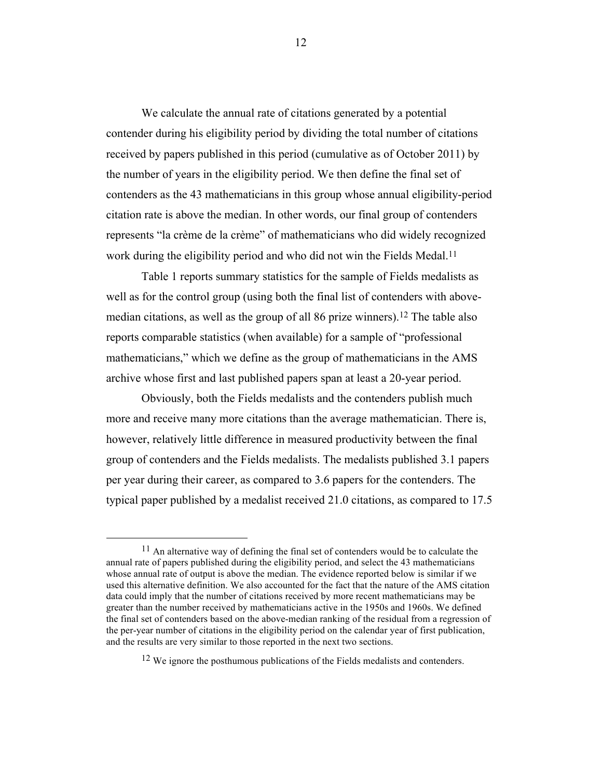We calculate the annual rate of citations generated by a potential contender during his eligibility period by dividing the total number of citations received by papers published in this period (cumulative as of October 2011) by the number of years in the eligibility period. We then define the final set of contenders as the 43 mathematicians in this group whose annual eligibility-period citation rate is above the median. In other words, our final group of contenders represents "la crème de la crème" of mathematicians who did widely recognized work during the eligibility period and who did not win the Fields Medal.<sup>11</sup>

Table 1 reports summary statistics for the sample of Fields medalists as well as for the control group (using both the final list of contenders with abovemedian citations, as well as the group of all 86 prize winners).12 The table also reports comparable statistics (when available) for a sample of "professional mathematicians," which we define as the group of mathematicians in the AMS archive whose first and last published papers span at least a 20-year period.

Obviously, both the Fields medalists and the contenders publish much more and receive many more citations than the average mathematician. There is, however, relatively little difference in measured productivity between the final group of contenders and the Fields medalists. The medalists published 3.1 papers per year during their career, as compared to 3.6 papers for the contenders. The typical paper published by a medalist received 21.0 citations, as compared to 17.5

<sup>&</sup>lt;sup>11</sup> An alternative way of defining the final set of contenders would be to calculate the annual rate of papers published during the eligibility period, and select the 43 mathematicians whose annual rate of output is above the median. The evidence reported below is similar if we used this alternative definition. We also accounted for the fact that the nature of the AMS citation data could imply that the number of citations received by more recent mathematicians may be greater than the number received by mathematicians active in the 1950s and 1960s. We defined the final set of contenders based on the above-median ranking of the residual from a regression of the per-year number of citations in the eligibility period on the calendar year of first publication, and the results are very similar to those reported in the next two sections.

<sup>&</sup>lt;sup>12</sup> We ignore the posthumous publications of the Fields medalists and contenders.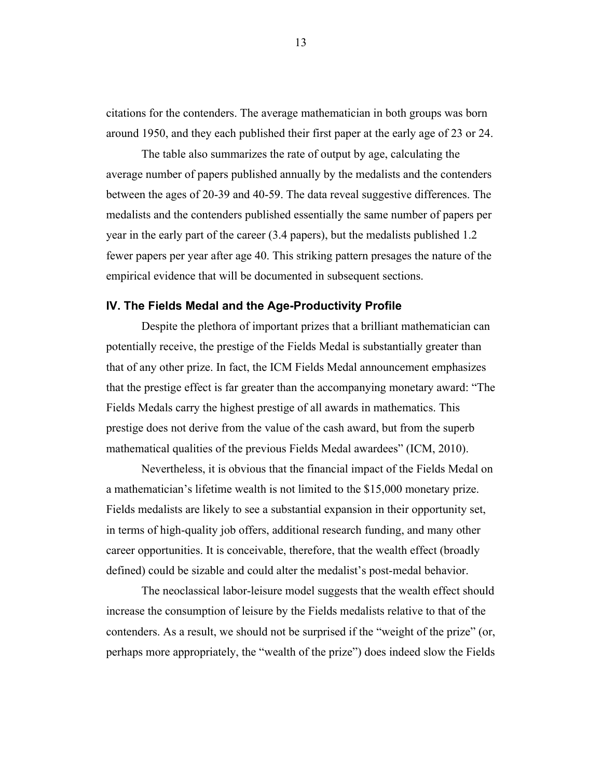citations for the contenders. The average mathematician in both groups was born around 1950, and they each published their first paper at the early age of 23 or 24.

The table also summarizes the rate of output by age, calculating the average number of papers published annually by the medalists and the contenders between the ages of 20-39 and 40-59. The data reveal suggestive differences. The medalists and the contenders published essentially the same number of papers per year in the early part of the career (3.4 papers), but the medalists published 1.2 fewer papers per year after age 40. This striking pattern presages the nature of the empirical evidence that will be documented in subsequent sections.

#### **IV. The Fields Medal and the Age-Productivity Profile**

Despite the plethora of important prizes that a brilliant mathematician can potentially receive, the prestige of the Fields Medal is substantially greater than that of any other prize. In fact, the ICM Fields Medal announcement emphasizes that the prestige effect is far greater than the accompanying monetary award: "The Fields Medals carry the highest prestige of all awards in mathematics. This prestige does not derive from the value of the cash award, but from the superb mathematical qualities of the previous Fields Medal awardees" (ICM, 2010).

Nevertheless, it is obvious that the financial impact of the Fields Medal on a mathematician's lifetime wealth is not limited to the \$15,000 monetary prize. Fields medalists are likely to see a substantial expansion in their opportunity set, in terms of high-quality job offers, additional research funding, and many other career opportunities. It is conceivable, therefore, that the wealth effect (broadly defined) could be sizable and could alter the medalist's post-medal behavior.

The neoclassical labor-leisure model suggests that the wealth effect should increase the consumption of leisure by the Fields medalists relative to that of the contenders. As a result, we should not be surprised if the "weight of the prize" (or, perhaps more appropriately, the "wealth of the prize") does indeed slow the Fields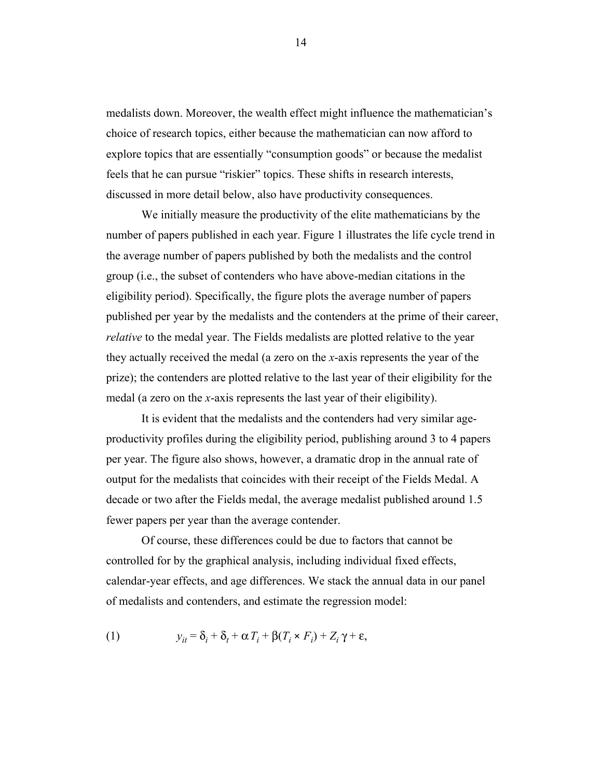medalists down. Moreover, the wealth effect might influence the mathematician's choice of research topics, either because the mathematician can now afford to explore topics that are essentially "consumption goods" or because the medalist feels that he can pursue "riskier" topics. These shifts in research interests, discussed in more detail below, also have productivity consequences.

We initially measure the productivity of the elite mathematicians by the number of papers published in each year. Figure 1 illustrates the life cycle trend in the average number of papers published by both the medalists and the control group (i.e., the subset of contenders who have above-median citations in the eligibility period). Specifically, the figure plots the average number of papers published per year by the medalists and the contenders at the prime of their career, *relative* to the medal year. The Fields medalists are plotted relative to the year they actually received the medal (a zero on the *x*-axis represents the year of the prize); the contenders are plotted relative to the last year of their eligibility for the medal (a zero on the *x*-axis represents the last year of their eligibility).

It is evident that the medalists and the contenders had very similar ageproductivity profiles during the eligibility period, publishing around 3 to 4 papers per year. The figure also shows, however, a dramatic drop in the annual rate of output for the medalists that coincides with their receipt of the Fields Medal. A decade or two after the Fields medal, the average medalist published around 1.5 fewer papers per year than the average contender.

Of course, these differences could be due to factors that cannot be controlled for by the graphical analysis, including individual fixed effects, calendar-year effects, and age differences. We stack the annual data in our panel of medalists and contenders, and estimate the regression model:

(1) 
$$
y_{it} = \delta_i + \delta_t + \alpha T_i + \beta (T_i \times F_i) + Z_i \gamma + \varepsilon,
$$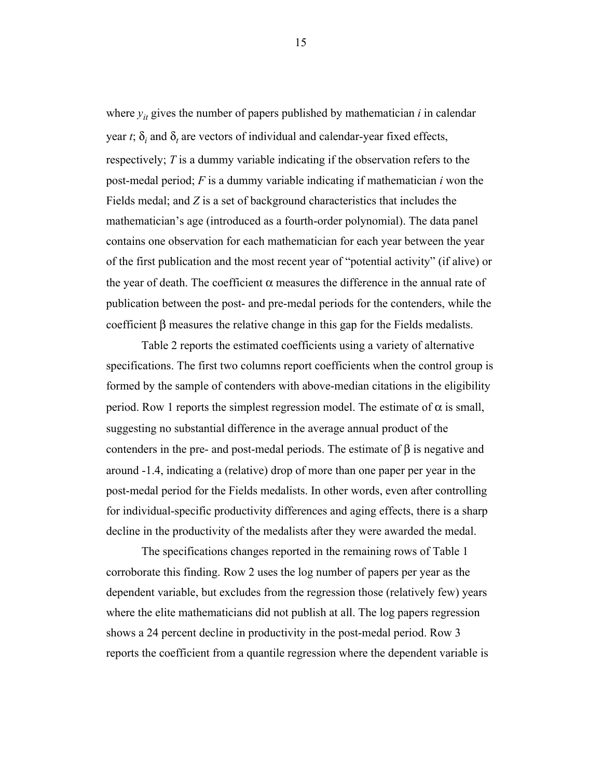where  $y_{it}$  gives the number of papers published by mathematician  $i$  in calendar year *t*;  $\delta_i$  and  $\delta_t$  are vectors of individual and calendar-year fixed effects, respectively; *T* is a dummy variable indicating if the observation refers to the post-medal period; *F* is a dummy variable indicating if mathematician *i* won the Fields medal; and *Z* is a set of background characteristics that includes the mathematician's age (introduced as a fourth-order polynomial). The data panel contains one observation for each mathematician for each year between the year of the first publication and the most recent year of "potential activity" (if alive) or the year of death. The coefficient  $\alpha$  measures the difference in the annual rate of publication between the post- and pre-medal periods for the contenders, while the coefficient β measures the relative change in this gap for the Fields medalists.

Table 2 reports the estimated coefficients using a variety of alternative specifications. The first two columns report coefficients when the control group is formed by the sample of contenders with above-median citations in the eligibility period. Row 1 reports the simplest regression model. The estimate of  $α$  is small, suggesting no substantial difference in the average annual product of the contenders in the pre- and post-medal periods. The estimate of  $\beta$  is negative and around -1.4, indicating a (relative) drop of more than one paper per year in the post-medal period for the Fields medalists. In other words, even after controlling for individual-specific productivity differences and aging effects, there is a sharp decline in the productivity of the medalists after they were awarded the medal.

The specifications changes reported in the remaining rows of Table 1 corroborate this finding. Row 2 uses the log number of papers per year as the dependent variable, but excludes from the regression those (relatively few) years where the elite mathematicians did not publish at all. The log papers regression shows a 24 percent decline in productivity in the post-medal period. Row 3 reports the coefficient from a quantile regression where the dependent variable is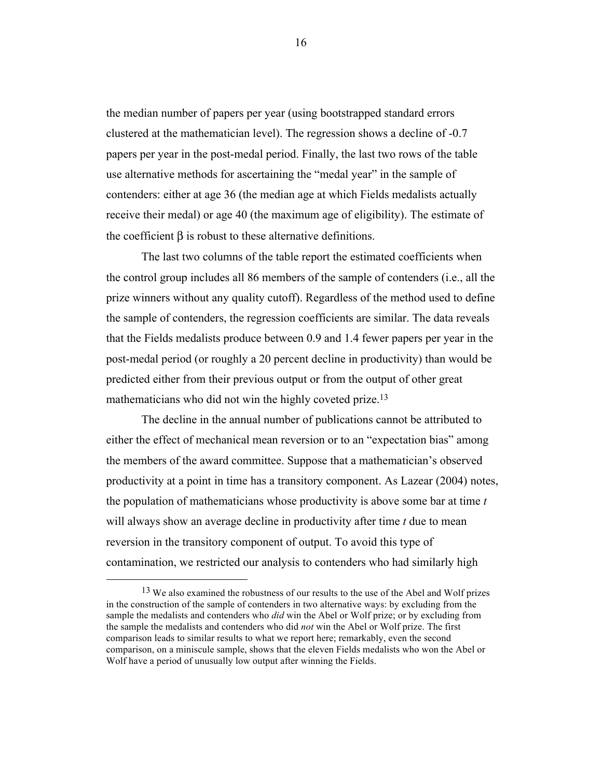the median number of papers per year (using bootstrapped standard errors clustered at the mathematician level). The regression shows a decline of -0.7 papers per year in the post-medal period. Finally, the last two rows of the table use alternative methods for ascertaining the "medal year" in the sample of contenders: either at age 36 (the median age at which Fields medalists actually receive their medal) or age 40 (the maximum age of eligibility). The estimate of the coefficient β is robust to these alternative definitions.

The last two columns of the table report the estimated coefficients when the control group includes all 86 members of the sample of contenders (i.e., all the prize winners without any quality cutoff). Regardless of the method used to define the sample of contenders, the regression coefficients are similar. The data reveals that the Fields medalists produce between 0.9 and 1.4 fewer papers per year in the post-medal period (or roughly a 20 percent decline in productivity) than would be predicted either from their previous output or from the output of other great mathematicians who did not win the highly coveted prize.<sup>13</sup>

The decline in the annual number of publications cannot be attributed to either the effect of mechanical mean reversion or to an "expectation bias" among the members of the award committee. Suppose that a mathematician's observed productivity at a point in time has a transitory component. As Lazear (2004) notes, the population of mathematicians whose productivity is above some bar at time *t* will always show an average decline in productivity after time *t* due to mean reversion in the transitory component of output. To avoid this type of contamination, we restricted our analysis to contenders who had similarly high

 

<sup>&</sup>lt;sup>13</sup> We also examined the robustness of our results to the use of the Abel and Wolf prizes in the construction of the sample of contenders in two alternative ways: by excluding from the sample the medalists and contenders who *did* win the Abel or Wolf prize; or by excluding from the sample the medalists and contenders who did *not* win the Abel or Wolf prize. The first comparison leads to similar results to what we report here; remarkably, even the second comparison, on a miniscule sample, shows that the eleven Fields medalists who won the Abel or Wolf have a period of unusually low output after winning the Fields.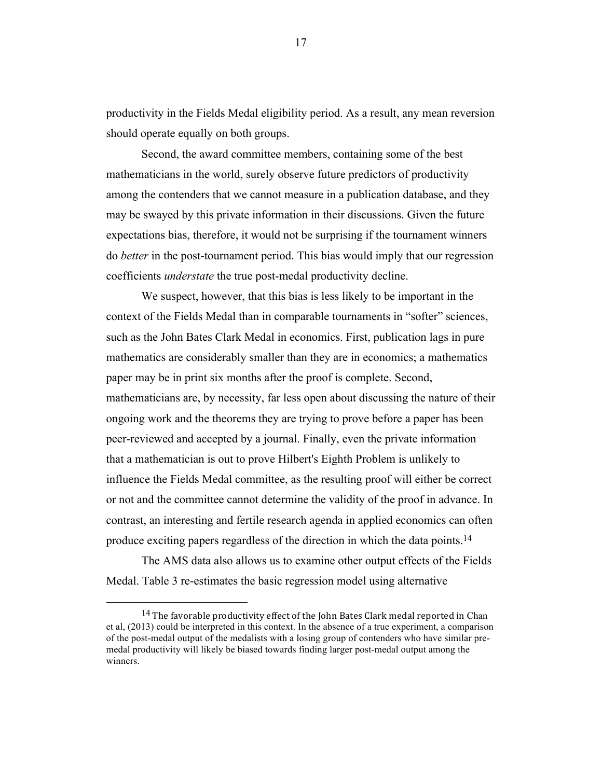productivity in the Fields Medal eligibility period. As a result, any mean reversion should operate equally on both groups.

Second, the award committee members, containing some of the best mathematicians in the world, surely observe future predictors of productivity among the contenders that we cannot measure in a publication database, and they may be swayed by this private information in their discussions. Given the future expectations bias, therefore, it would not be surprising if the tournament winners do *better* in the post-tournament period. This bias would imply that our regression coefficients *understate* the true post-medal productivity decline.

We suspect, however, that this bias is less likely to be important in the context of the Fields Medal than in comparable tournaments in "softer" sciences, such as the John Bates Clark Medal in economics. First, publication lags in pure mathematics are considerably smaller than they are in economics; a mathematics paper may be in print six months after the proof is complete. Second, mathematicians are, by necessity, far less open about discussing the nature of their ongoing work and the theorems they are trying to prove before a paper has been peer-reviewed and accepted by a journal. Finally, even the private information that a mathematician is out to prove Hilbert's Eighth Problem is unlikely to influence the Fields Medal committee, as the resulting proof will either be correct or not and the committee cannot determine the validity of the proof in advance. In contrast, an interesting and fertile research agenda in applied economics can often produce exciting papers regardless of the direction in which the data points.<sup>14</sup>

The AMS data also allows us to examine other output effects of the Fields Medal. Table 3 re-estimates the basic regression model using alternative

 

<sup>&</sup>lt;sup>14</sup> The favorable productivity effect of the John Bates Clark medal reported in Chan et al, (2013) could be interpreted in this context. In the absence of a true experiment, a comparison of the post-medal output of the medalists with a losing group of contenders who have similar premedal productivity will likely be biased towards finding larger post-medal output among the winners.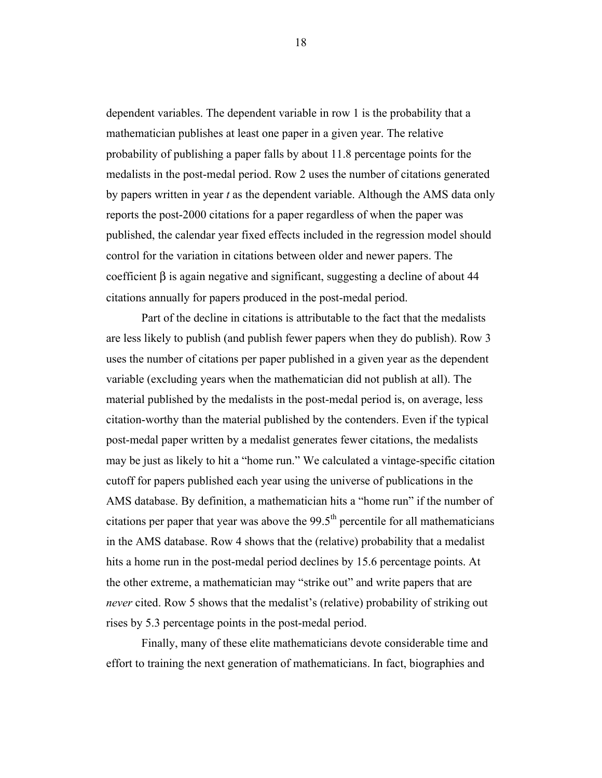dependent variables. The dependent variable in row 1 is the probability that a mathematician publishes at least one paper in a given year. The relative probability of publishing a paper falls by about 11.8 percentage points for the medalists in the post-medal period. Row 2 uses the number of citations generated by papers written in year *t* as the dependent variable. Although the AMS data only reports the post-2000 citations for a paper regardless of when the paper was published, the calendar year fixed effects included in the regression model should control for the variation in citations between older and newer papers. The coefficient  $\beta$  is again negative and significant, suggesting a decline of about 44 citations annually for papers produced in the post-medal period.

Part of the decline in citations is attributable to the fact that the medalists are less likely to publish (and publish fewer papers when they do publish). Row 3 uses the number of citations per paper published in a given year as the dependent variable (excluding years when the mathematician did not publish at all). The material published by the medalists in the post-medal period is, on average, less citation-worthy than the material published by the contenders. Even if the typical post-medal paper written by a medalist generates fewer citations, the medalists may be just as likely to hit a "home run." We calculated a vintage-specific citation cutoff for papers published each year using the universe of publications in the AMS database. By definition, a mathematician hits a "home run" if the number of citations per paper that year was above the  $99.5<sup>th</sup>$  percentile for all mathematicians in the AMS database. Row 4 shows that the (relative) probability that a medalist hits a home run in the post-medal period declines by 15.6 percentage points. At the other extreme, a mathematician may "strike out" and write papers that are *never* cited. Row 5 shows that the medalist's (relative) probability of striking out rises by 5.3 percentage points in the post-medal period.

Finally, many of these elite mathematicians devote considerable time and effort to training the next generation of mathematicians. In fact, biographies and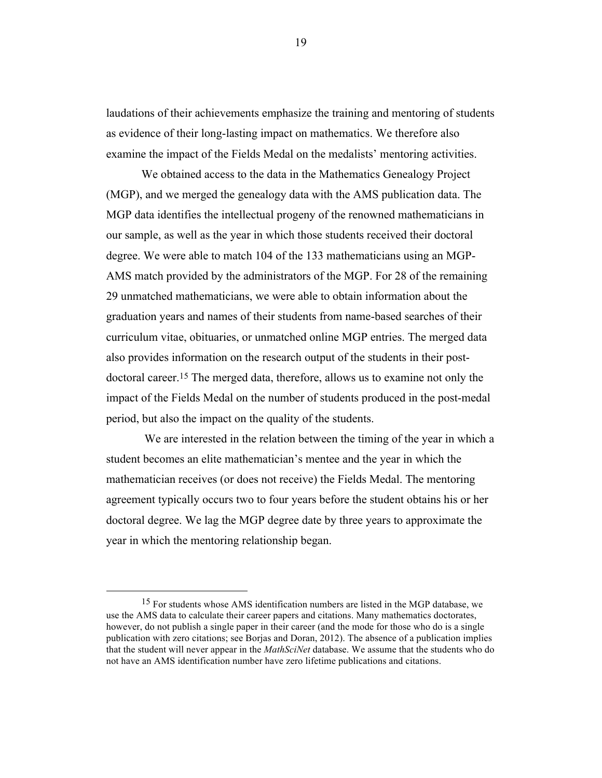laudations of their achievements emphasize the training and mentoring of students as evidence of their long-lasting impact on mathematics. We therefore also examine the impact of the Fields Medal on the medalists' mentoring activities.

We obtained access to the data in the Mathematics Genealogy Project (MGP), and we merged the genealogy data with the AMS publication data. The MGP data identifies the intellectual progeny of the renowned mathematicians in our sample, as well as the year in which those students received their doctoral degree. We were able to match 104 of the 133 mathematicians using an MGP-AMS match provided by the administrators of the MGP. For 28 of the remaining 29 unmatched mathematicians, we were able to obtain information about the graduation years and names of their students from name-based searches of their curriculum vitae, obituaries, or unmatched online MGP entries. The merged data also provides information on the research output of the students in their postdoctoral career.15 The merged data, therefore, allows us to examine not only the impact of the Fields Medal on the number of students produced in the post-medal period, but also the impact on the quality of the students.

We are interested in the relation between the timing of the year in which a student becomes an elite mathematician's mentee and the year in which the mathematician receives (or does not receive) the Fields Medal. The mentoring agreement typically occurs two to four years before the student obtains his or her doctoral degree. We lag the MGP degree date by three years to approximate the year in which the mentoring relationship began.

 

<sup>&</sup>lt;sup>15</sup> For students whose AMS identification numbers are listed in the MGP database, we use the AMS data to calculate their career papers and citations. Many mathematics doctorates, however, do not publish a single paper in their career (and the mode for those who do is a single publication with zero citations; see Borjas and Doran, 2012). The absence of a publication implies that the student will never appear in the *MathSciNet* database. We assume that the students who do not have an AMS identification number have zero lifetime publications and citations.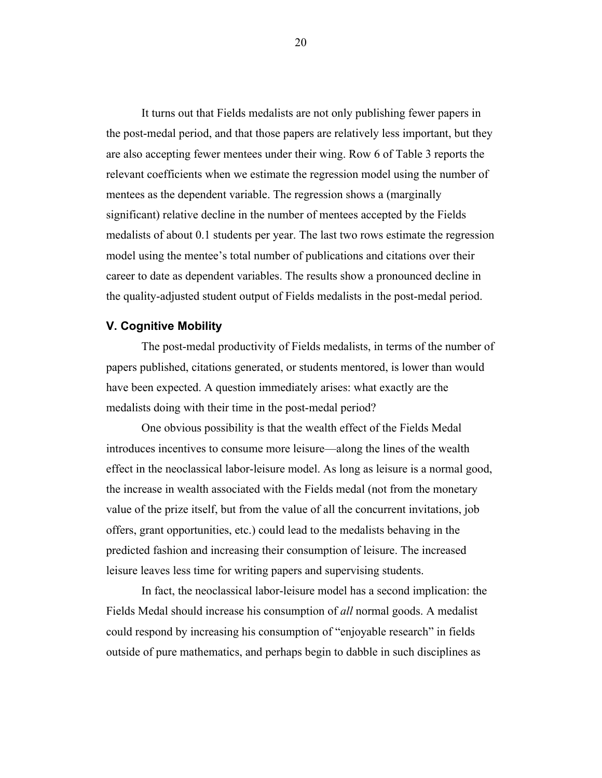It turns out that Fields medalists are not only publishing fewer papers in the post-medal period, and that those papers are relatively less important, but they are also accepting fewer mentees under their wing. Row 6 of Table 3 reports the relevant coefficients when we estimate the regression model using the number of mentees as the dependent variable. The regression shows a (marginally significant) relative decline in the number of mentees accepted by the Fields medalists of about 0.1 students per year. The last two rows estimate the regression model using the mentee's total number of publications and citations over their career to date as dependent variables. The results show a pronounced decline in the quality-adjusted student output of Fields medalists in the post-medal period.

### **V. Cognitive Mobility**

The post-medal productivity of Fields medalists, in terms of the number of papers published, citations generated, or students mentored, is lower than would have been expected. A question immediately arises: what exactly are the medalists doing with their time in the post-medal period?

One obvious possibility is that the wealth effect of the Fields Medal introduces incentives to consume more leisure—along the lines of the wealth effect in the neoclassical labor-leisure model. As long as leisure is a normal good, the increase in wealth associated with the Fields medal (not from the monetary value of the prize itself, but from the value of all the concurrent invitations, job offers, grant opportunities, etc.) could lead to the medalists behaving in the predicted fashion and increasing their consumption of leisure. The increased leisure leaves less time for writing papers and supervising students.

In fact, the neoclassical labor-leisure model has a second implication: the Fields Medal should increase his consumption of *all* normal goods. A medalist could respond by increasing his consumption of "enjoyable research" in fields outside of pure mathematics, and perhaps begin to dabble in such disciplines as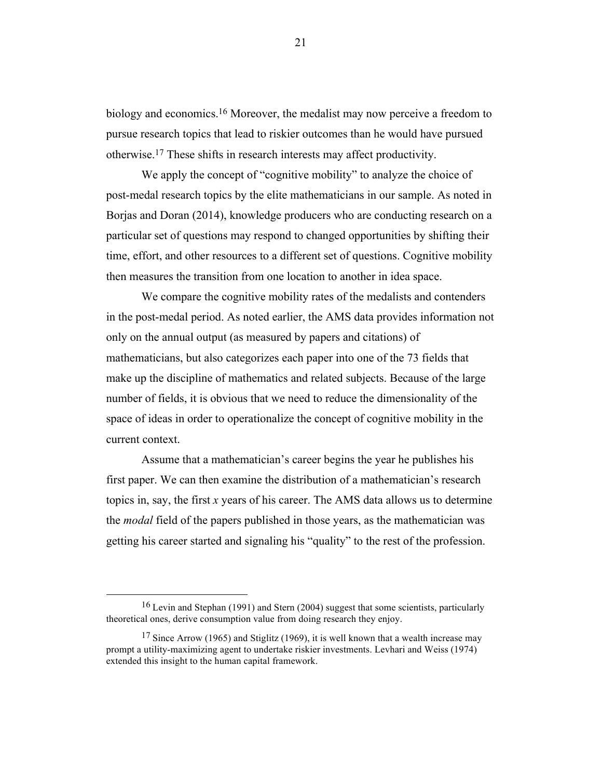biology and economics.<sup>16</sup> Moreover, the medalist may now perceive a freedom to pursue research topics that lead to riskier outcomes than he would have pursued otherwise.17 These shifts in research interests may affect productivity.

We apply the concept of "cognitive mobility" to analyze the choice of post-medal research topics by the elite mathematicians in our sample. As noted in Borjas and Doran (2014), knowledge producers who are conducting research on a particular set of questions may respond to changed opportunities by shifting their time, effort, and other resources to a different set of questions. Cognitive mobility then measures the transition from one location to another in idea space.

We compare the cognitive mobility rates of the medalists and contenders in the post-medal period. As noted earlier, the AMS data provides information not only on the annual output (as measured by papers and citations) of mathematicians, but also categorizes each paper into one of the 73 fields that make up the discipline of mathematics and related subjects. Because of the large number of fields, it is obvious that we need to reduce the dimensionality of the space of ideas in order to operationalize the concept of cognitive mobility in the current context.

Assume that a mathematician's career begins the year he publishes his first paper. We can then examine the distribution of a mathematician's research topics in, say, the first *x* years of his career. The AMS data allows us to determine the *modal* field of the papers published in those years, as the mathematician was getting his career started and signaling his "quality" to the rest of the profession.

<sup>&</sup>lt;sup>16</sup> Levin and Stephan (1991) and Stern (2004) suggest that some scientists, particularly theoretical ones, derive consumption value from doing research they enjoy.

<sup>&</sup>lt;sup>17</sup> Since Arrow (1965) and Stiglitz (1969), it is well known that a wealth increase may prompt a utility-maximizing agent to undertake riskier investments. Levhari and Weiss (1974) extended this insight to the human capital framework.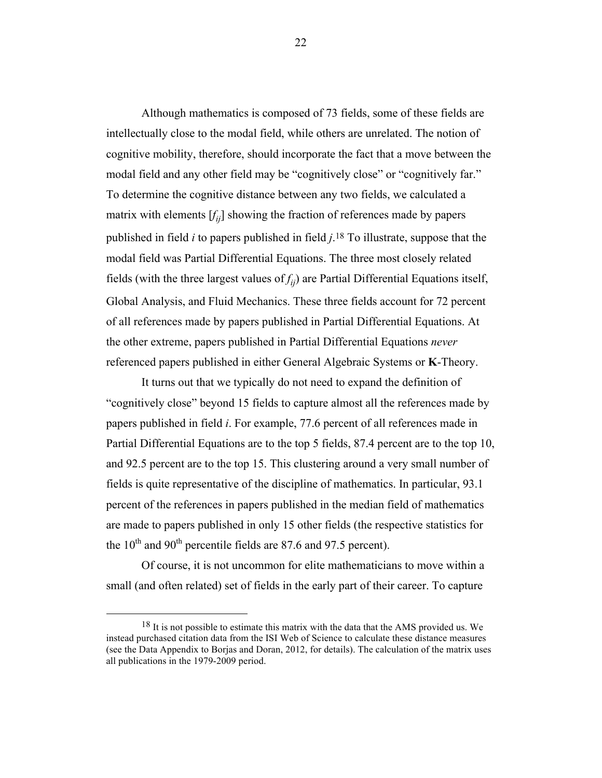Although mathematics is composed of 73 fields, some of these fields are intellectually close to the modal field, while others are unrelated. The notion of cognitive mobility, therefore, should incorporate the fact that a move between the modal field and any other field may be "cognitively close" or "cognitively far." To determine the cognitive distance between any two fields, we calculated a matrix with elements [*fij*] showing the fraction of references made by papers published in field *i* to papers published in field *j*. 18 To illustrate, suppose that the modal field was Partial Differential Equations. The three most closely related fields (with the three largest values of  $f_{ii}$ ) are Partial Differential Equations itself, Global Analysis, and Fluid Mechanics. These three fields account for 72 percent of all references made by papers published in Partial Differential Equations. At the other extreme, papers published in Partial Differential Equations *never* referenced papers published in either General Algebraic Systems or **K**-Theory.

It turns out that we typically do not need to expand the definition of "cognitively close" beyond 15 fields to capture almost all the references made by papers published in field *i*. For example, 77.6 percent of all references made in Partial Differential Equations are to the top 5 fields, 87.4 percent are to the top 10, and 92.5 percent are to the top 15. This clustering around a very small number of fields is quite representative of the discipline of mathematics. In particular, 93.1 percent of the references in papers published in the median field of mathematics are made to papers published in only 15 other fields (the respective statistics for the  $10^{th}$  and  $90^{th}$  percentile fields are 87.6 and 97.5 percent).

Of course, it is not uncommon for elite mathematicians to move within a small (and often related) set of fields in the early part of their career. To capture

 

<sup>&</sup>lt;sup>18</sup> It is not possible to estimate this matrix with the data that the AMS provided us. We instead purchased citation data from the ISI Web of Science to calculate these distance measures (see the Data Appendix to Borjas and Doran, 2012, for details). The calculation of the matrix uses all publications in the 1979-2009 period.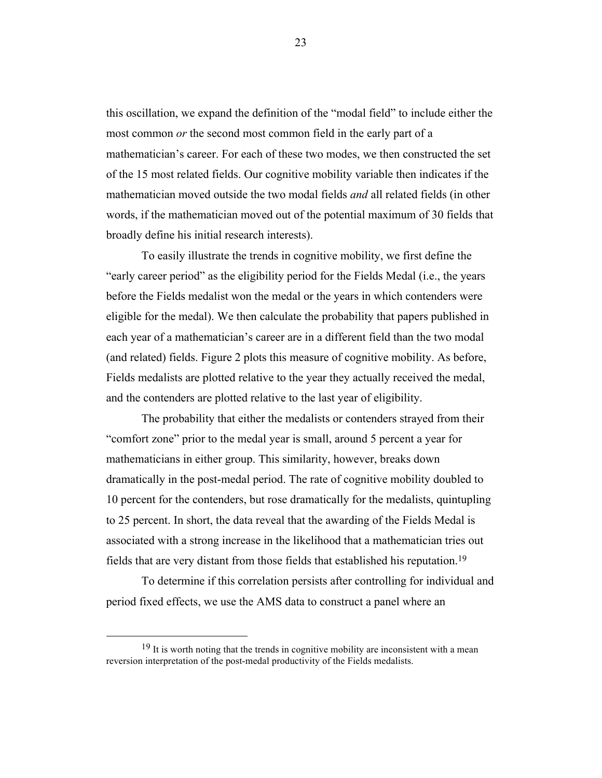this oscillation, we expand the definition of the "modal field" to include either the most common *or* the second most common field in the early part of a mathematician's career. For each of these two modes, we then constructed the set of the 15 most related fields. Our cognitive mobility variable then indicates if the mathematician moved outside the two modal fields *and* all related fields (in other words, if the mathematician moved out of the potential maximum of 30 fields that broadly define his initial research interests).

To easily illustrate the trends in cognitive mobility, we first define the "early career period" as the eligibility period for the Fields Medal (i.e., the years before the Fields medalist won the medal or the years in which contenders were eligible for the medal). We then calculate the probability that papers published in each year of a mathematician's career are in a different field than the two modal (and related) fields. Figure 2 plots this measure of cognitive mobility. As before, Fields medalists are plotted relative to the year they actually received the medal, and the contenders are plotted relative to the last year of eligibility.

The probability that either the medalists or contenders strayed from their "comfort zone" prior to the medal year is small, around 5 percent a year for mathematicians in either group. This similarity, however, breaks down dramatically in the post-medal period. The rate of cognitive mobility doubled to 10 percent for the contenders, but rose dramatically for the medalists, quintupling to 25 percent. In short, the data reveal that the awarding of the Fields Medal is associated with a strong increase in the likelihood that a mathematician tries out fields that are very distant from those fields that established his reputation.19

To determine if this correlation persists after controlling for individual and period fixed effects, we use the AMS data to construct a panel where an

 

<sup>&</sup>lt;sup>19</sup> It is worth noting that the trends in cognitive mobility are inconsistent with a mean reversion interpretation of the post-medal productivity of the Fields medalists.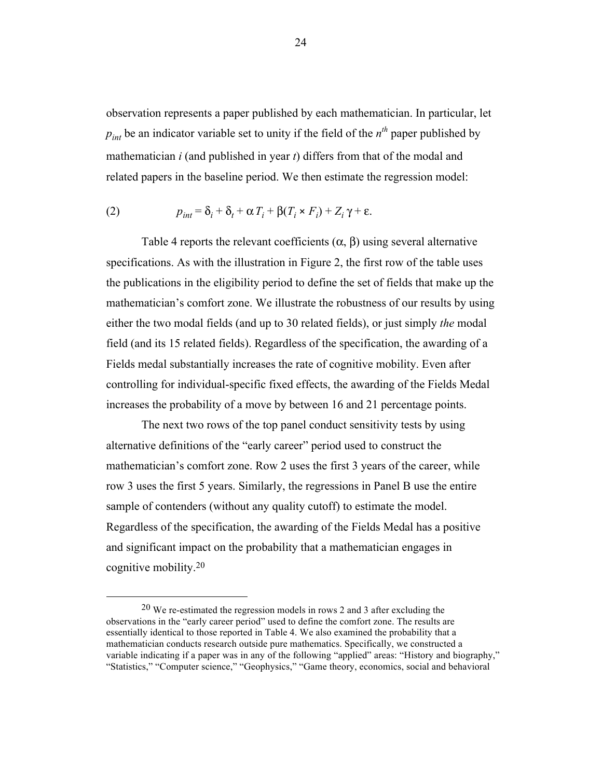observation represents a paper published by each mathematician. In particular, let  $p_{int}$  be an indicator variable set to unity if the field of the  $n^{th}$  paper published by mathematician *i* (and published in year *t*) differs from that of the modal and related papers in the baseline period. We then estimate the regression model:

(2) 
$$
p_{int} = \delta_i + \delta_t + \alpha T_i + \beta (T_i \times F_i) + Z_i \gamma + \varepsilon.
$$

Table 4 reports the relevant coefficients  $(\alpha, \beta)$  using several alternative specifications. As with the illustration in Figure 2, the first row of the table uses the publications in the eligibility period to define the set of fields that make up the mathematician's comfort zone. We illustrate the robustness of our results by using either the two modal fields (and up to 30 related fields), or just simply *the* modal field (and its 15 related fields). Regardless of the specification, the awarding of a Fields medal substantially increases the rate of cognitive mobility. Even after controlling for individual-specific fixed effects, the awarding of the Fields Medal increases the probability of a move by between 16 and 21 percentage points.

The next two rows of the top panel conduct sensitivity tests by using alternative definitions of the "early career" period used to construct the mathematician's comfort zone. Row 2 uses the first 3 years of the career, while row 3 uses the first 5 years. Similarly, the regressions in Panel B use the entire sample of contenders (without any quality cutoff) to estimate the model. Regardless of the specification, the awarding of the Fields Medal has a positive and significant impact on the probability that a mathematician engages in cognitive mobility. 20

<sup>20</sup> We re-estimated the regression models in rows 2 and 3 after excluding the observations in the "early career period" used to define the comfort zone. The results are essentially identical to those reported in Table 4. We also examined the probability that a mathematician conducts research outside pure mathematics. Specifically, we constructed a variable indicating if a paper was in any of the following "applied" areas: "History and biography," "Statistics," "Computer science," "Geophysics," "Game theory, economics, social and behavioral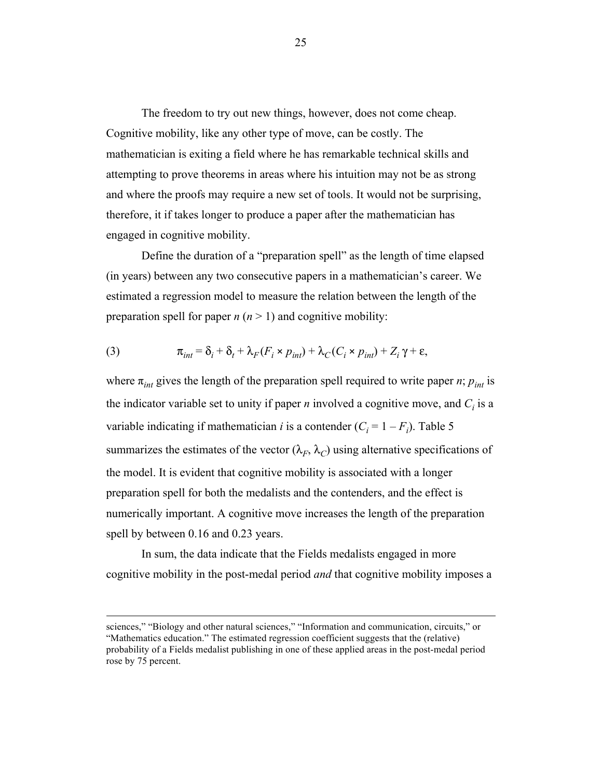The freedom to try out new things, however, does not come cheap. Cognitive mobility, like any other type of move, can be costly. The mathematician is exiting a field where he has remarkable technical skills and attempting to prove theorems in areas where his intuition may not be as strong and where the proofs may require a new set of tools. It would not be surprising, therefore, it if takes longer to produce a paper after the mathematician has engaged in cognitive mobility.

Define the duration of a "preparation spell" as the length of time elapsed (in years) between any two consecutive papers in a mathematician's career. We estimated a regression model to measure the relation between the length of the preparation spell for paper  $n (n > 1)$  and cognitive mobility:

(3) 
$$
\pi_{int} = \delta_i + \delta_t + \lambda_F (F_i \times p_{int}) + \lambda_C (C_i \times p_{int}) + Z_i \gamma + \varepsilon,
$$

where  $\pi_{int}$  gives the length of the preparation spell required to write paper *n*;  $p_{int}$  is the indicator variable set to unity if paper  $n$  involved a cognitive move, and  $C_i$  is a variable indicating if mathematician *i* is a contender  $(C_i = 1 - F_i)$ . Table 5 summarizes the estimates of the vector  $(\lambda_F, \lambda_C)$  using alternative specifications of the model. It is evident that cognitive mobility is associated with a longer preparation spell for both the medalists and the contenders, and the effect is numerically important. A cognitive move increases the length of the preparation spell by between 0.16 and 0.23 years.

In sum, the data indicate that the Fields medalists engaged in more cognitive mobility in the post-medal period *and* that cognitive mobility imposes a

<u> 1989 - Johann Stein, marwolaethau a bhann an chomhair an chomhair an chomhair an chomhair an chomhair an chom</u>

sciences," "Biology and other natural sciences," "Information and communication, circuits," or "Mathematics education." The estimated regression coefficient suggests that the (relative) probability of a Fields medalist publishing in one of these applied areas in the post-medal period rose by 75 percent.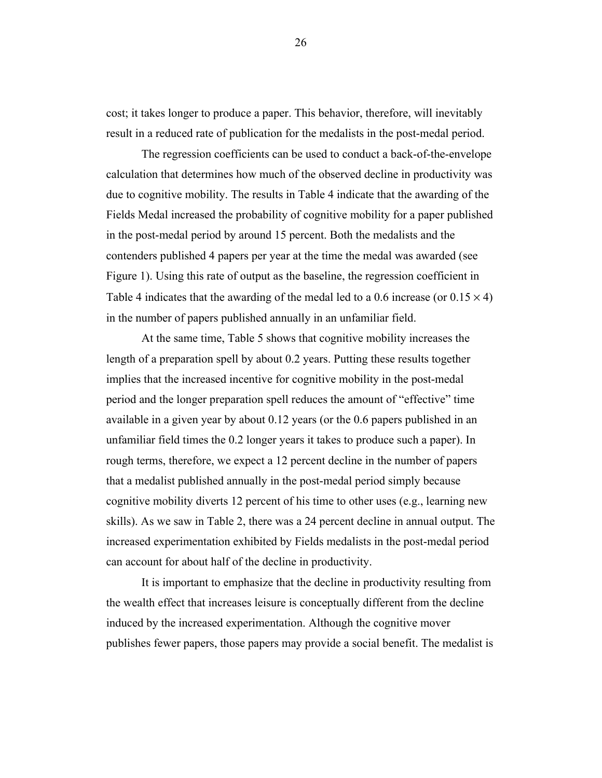cost; it takes longer to produce a paper. This behavior, therefore, will inevitably result in a reduced rate of publication for the medalists in the post-medal period.

The regression coefficients can be used to conduct a back-of-the-envelope calculation that determines how much of the observed decline in productivity was due to cognitive mobility. The results in Table 4 indicate that the awarding of the Fields Medal increased the probability of cognitive mobility for a paper published in the post-medal period by around 15 percent. Both the medalists and the contenders published 4 papers per year at the time the medal was awarded (see Figure 1). Using this rate of output as the baseline, the regression coefficient in Table 4 indicates that the awarding of the medal led to a 0.6 increase (or  $0.15 \times 4$ ) in the number of papers published annually in an unfamiliar field.

At the same time, Table 5 shows that cognitive mobility increases the length of a preparation spell by about 0.2 years. Putting these results together implies that the increased incentive for cognitive mobility in the post-medal period and the longer preparation spell reduces the amount of "effective" time available in a given year by about 0.12 years (or the 0.6 papers published in an unfamiliar field times the 0.2 longer years it takes to produce such a paper). In rough terms, therefore, we expect a 12 percent decline in the number of papers that a medalist published annually in the post-medal period simply because cognitive mobility diverts 12 percent of his time to other uses (e.g., learning new skills). As we saw in Table 2, there was a 24 percent decline in annual output. The increased experimentation exhibited by Fields medalists in the post-medal period can account for about half of the decline in productivity.

It is important to emphasize that the decline in productivity resulting from the wealth effect that increases leisure is conceptually different from the decline induced by the increased experimentation. Although the cognitive mover publishes fewer papers, those papers may provide a social benefit. The medalist is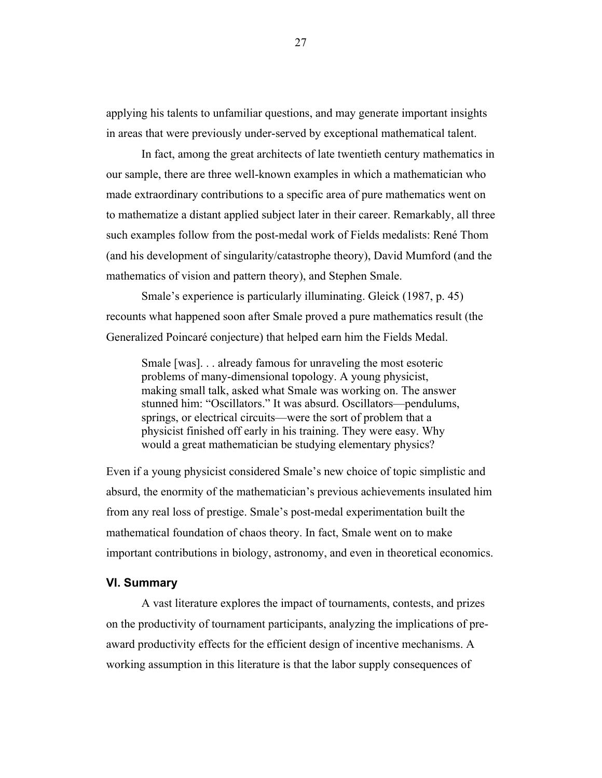applying his talents to unfamiliar questions, and may generate important insights in areas that were previously under-served by exceptional mathematical talent.

In fact, among the great architects of late twentieth century mathematics in our sample, there are three well-known examples in which a mathematician who made extraordinary contributions to a specific area of pure mathematics went on to mathematize a distant applied subject later in their career. Remarkably, all three such examples follow from the post-medal work of Fields medalists: René Thom (and his development of singularity/catastrophe theory), David Mumford (and the mathematics of vision and pattern theory), and Stephen Smale.

Smale's experience is particularly illuminating. Gleick (1987, p. 45) recounts what happened soon after Smale proved a pure mathematics result (the Generalized Poincaré conjecture) that helped earn him the Fields Medal.

Smale [was]. . . already famous for unraveling the most esoteric problems of many-dimensional topology. A young physicist, making small talk, asked what Smale was working on. The answer stunned him: "Oscillators." It was absurd. Oscillators—pendulums, springs, or electrical circuits—were the sort of problem that a physicist finished off early in his training. They were easy. Why would a great mathematician be studying elementary physics?

Even if a young physicist considered Smale's new choice of topic simplistic and absurd, the enormity of the mathematician's previous achievements insulated him from any real loss of prestige. Smale's post-medal experimentation built the mathematical foundation of chaos theory. In fact, Smale went on to make important contributions in biology, astronomy, and even in theoretical economics.

#### **VI. Summary**

A vast literature explores the impact of tournaments, contests, and prizes on the productivity of tournament participants, analyzing the implications of preaward productivity effects for the efficient design of incentive mechanisms. A working assumption in this literature is that the labor supply consequences of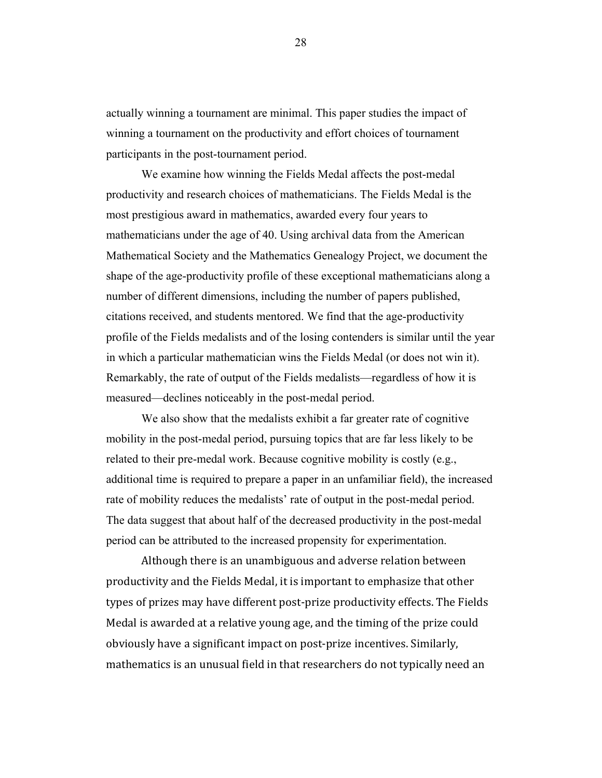actually winning a tournament are minimal. This paper studies the impact of winning a tournament on the productivity and effort choices of tournament participants in the post-tournament period.

We examine how winning the Fields Medal affects the post-medal productivity and research choices of mathematicians. The Fields Medal is the most prestigious award in mathematics, awarded every four years to mathematicians under the age of 40. Using archival data from the American Mathematical Society and the Mathematics Genealogy Project, we document the shape of the age-productivity profile of these exceptional mathematicians along a number of different dimensions, including the number of papers published, citations received, and students mentored. We find that the age-productivity profile of the Fields medalists and of the losing contenders is similar until the year in which a particular mathematician wins the Fields Medal (or does not win it). Remarkably, the rate of output of the Fields medalists—regardless of how it is measured—declines noticeably in the post-medal period.

We also show that the medalists exhibit a far greater rate of cognitive mobility in the post-medal period, pursuing topics that are far less likely to be related to their pre-medal work. Because cognitive mobility is costly (e.g., additional time is required to prepare a paper in an unfamiliar field), the increased rate of mobility reduces the medalists' rate of output in the post-medal period. The data suggest that about half of the decreased productivity in the post-medal period can be attributed to the increased propensity for experimentation.

Although there is an unambiguous and adverse relation between productivity and the Fields Medal, it is important to emphasize that other types of prizes may have different post-prize productivity effects. The Fields Medal is awarded at a relative young age, and the timing of the prize could obviously have a significant impact on post-prize incentives. Similarly, mathematics is an unusual field in that researchers do not typically need an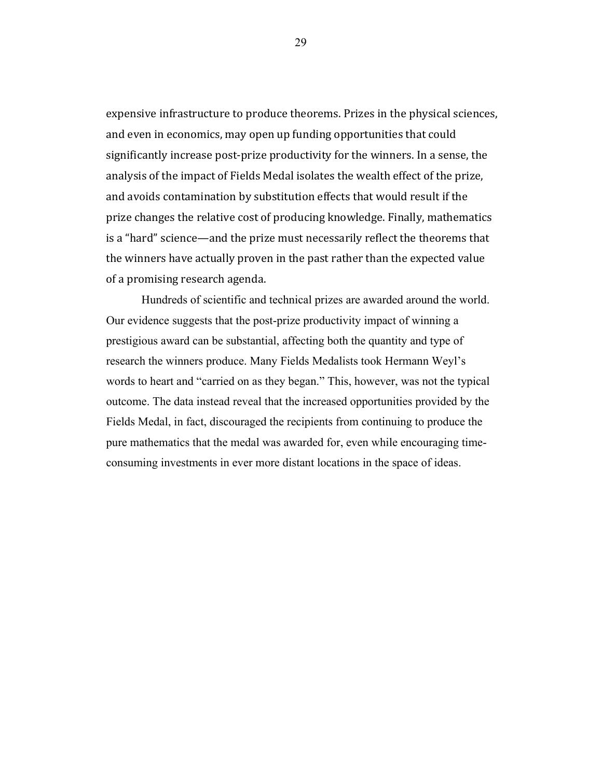expensive infrastructure to produce theorems. Prizes in the physical sciences, and even in economics, may open up funding opportunities that could significantly increase post-prize productivity for the winners. In a sense, the analysis of the impact of Fields Medal isolates the wealth effect of the prize, and avoids contamination by substitution effects that would result if the prize changes the relative cost of producing knowledge. Finally, mathematics is a "hard" science—and the prize must necessarily reflect the theorems that the winners have actually proven in the past rather than the expected value of a promising research agenda.

Hundreds of scientific and technical prizes are awarded around the world. Our evidence suggests that the post-prize productivity impact of winning a prestigious award can be substantial, affecting both the quantity and type of research the winners produce. Many Fields Medalists took Hermann Weyl's words to heart and "carried on as they began." This, however, was not the typical outcome. The data instead reveal that the increased opportunities provided by the Fields Medal, in fact, discouraged the recipients from continuing to produce the pure mathematics that the medal was awarded for, even while encouraging timeconsuming investments in ever more distant locations in the space of ideas.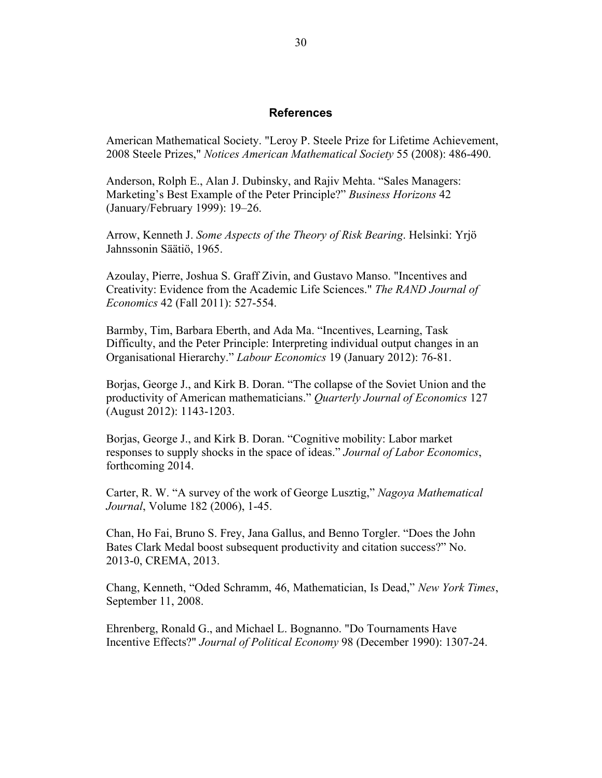### **References**

American Mathematical Society. "Leroy P. Steele Prize for Lifetime Achievement, 2008 Steele Prizes," *Notices American Mathematical Society* 55 (2008): 486-490.

Anderson, Rolph E., Alan J. Dubinsky, and Rajiv Mehta. "Sales Managers: Marketing's Best Example of the Peter Principle?" *Business Horizons* 42 (January/February 1999): 19–26.

Arrow, Kenneth J. *Some Aspects of the Theory of Risk Bearing*. Helsinki: Yrjö Jahnssonin Säätiö, 1965.

Azoulay, Pierre, Joshua S. Graff Zivin, and Gustavo Manso. "Incentives and Creativity: Evidence from the Academic Life Sciences." *The RAND Journal of Economics* 42 (Fall 2011): 527-554.

Barmby, Tim, Barbara Eberth, and Ada Ma. "Incentives, Learning, Task Difficulty, and the Peter Principle: Interpreting individual output changes in an Organisational Hierarchy." *Labour Economics* 19 (January 2012): 76-81.

Borjas, George J., and Kirk B. Doran. "The collapse of the Soviet Union and the productivity of American mathematicians." *Quarterly Journal of Economics* 127 (August 2012): 1143-1203.

Borjas, George J., and Kirk B. Doran. "Cognitive mobility: Labor market responses to supply shocks in the space of ideas." *Journal of Labor Economics*, forthcoming 2014.

Carter, R. W. "A survey of the work of George Lusztig," *Nagoya Mathematical Journal*, Volume 182 (2006), 1-45.

Chan, Ho Fai, Bruno S. Frey, Jana Gallus, and Benno Torgler. "Does the John Bates Clark Medal boost subsequent productivity and citation success?" No. 2013-0, CREMA, 2013.

Chang, Kenneth, "Oded Schramm, 46, Mathematician, Is Dead," *New York Times*, September 11, 2008.

Ehrenberg, Ronald G., and Michael L. Bognanno. "Do Tournaments Have Incentive Effects?" *Journal of Political Economy* 98 (December 1990): 1307-24.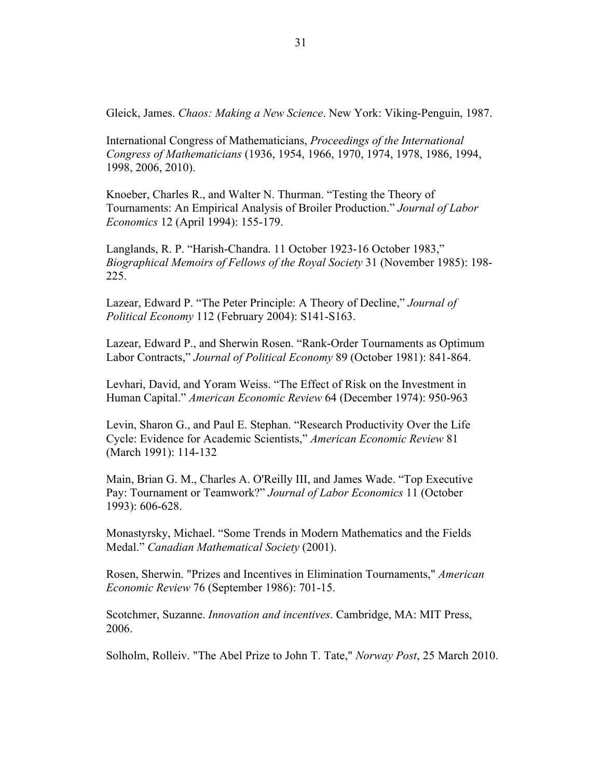Gleick, James. *Chaos: Making a New Science*. New York: Viking-Penguin, 1987.

International Congress of Mathematicians, *Proceedings of the International Congress of Mathematicians* (1936, 1954, 1966, 1970, 1974, 1978, 1986, 1994, 1998, 2006, 2010).

Knoeber, Charles R., and Walter N. Thurman. "Testing the Theory of Tournaments: An Empirical Analysis of Broiler Production." *Journal of Labor Economics* 12 (April 1994): 155-179.

Langlands, R. P. "Harish-Chandra. 11 October 1923-16 October 1983," *Biographical Memoirs of Fellows of the Royal Society* 31 (November 1985): 198- 225.

Lazear, Edward P. "The Peter Principle: A Theory of Decline," *Journal of Political Economy* 112 (February 2004): S141-S163.

Lazear, Edward P., and Sherwin Rosen. "Rank-Order Tournaments as Optimum Labor Contracts," *Journal of Political Economy* 89 (October 1981): 841-864.

Levhari, David, and Yoram Weiss. "The Effect of Risk on the Investment in Human Capital." *American Economic Review* 64 (December 1974): 950-963

Levin, Sharon G., and Paul E. Stephan. "Research Productivity Over the Life Cycle: Evidence for Academic Scientists," *American Economic Review* 81 (March 1991): 114-132

Main, Brian G. M., Charles A. O'Reilly III, and James Wade. "Top Executive Pay: Tournament or Teamwork?" *Journal of Labor Economics* 11 (October 1993): 606-628.

Monastyrsky, Michael. "Some Trends in Modern Mathematics and the Fields Medal." *Canadian Mathematical Society* (2001).

Rosen, Sherwin. "Prizes and Incentives in Elimination Tournaments," *American Economic Review* 76 (September 1986): 701-15.

Scotchmer, Suzanne. *Innovation and incentives*. Cambridge, MA: MIT Press, 2006.

Solholm, Rolleiv. "The Abel Prize to John T. Tate," *Norway Post*, 25 March 2010.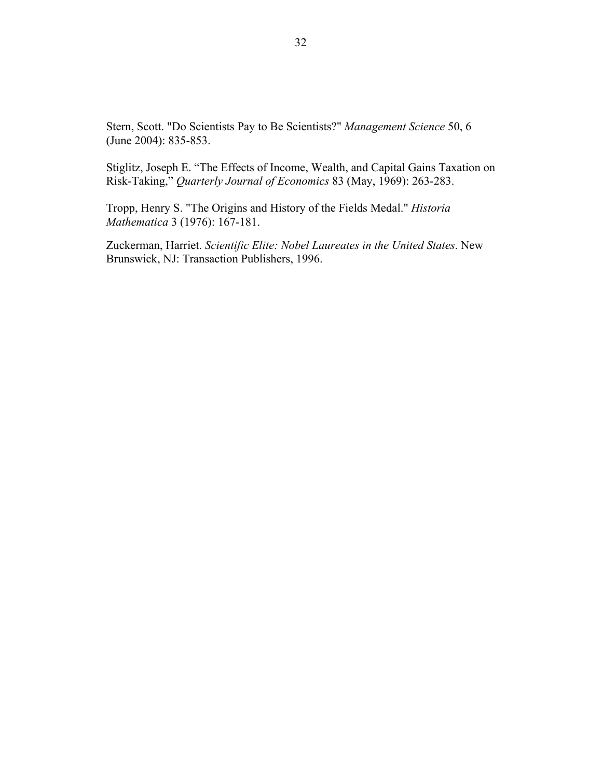Stern, Scott. "Do Scientists Pay to Be Scientists?" *Management Science* 50, 6 (June 2004): 835-853.

Stiglitz, Joseph E. "The Effects of Income, Wealth, and Capital Gains Taxation on Risk-Taking," *Quarterly Journal of Economics* 83 (May, 1969): 263-283.

Tropp, Henry S. "The Origins and History of the Fields Medal." *Historia Mathematica* 3 (1976): 167-181.

Zuckerman, Harriet. *Scientific Elite: Nobel Laureates in the United States*. New Brunswick, NJ: Transaction Publishers, 1996.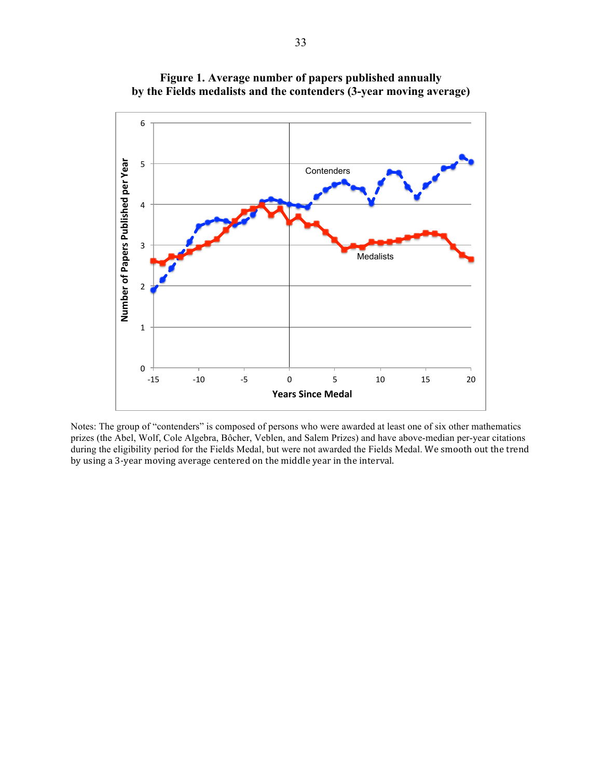

**Figure 1. Average number of papers published annually by the Fields medalists and the contenders (3-year moving average)**

Notes: The group of "contenders" is composed of persons who were awarded at least one of six other mathematics prizes (the Abel, Wolf, Cole Algebra, Bôcher, Veblen, and Salem Prizes) and have above-median per-year citations during the eligibility period for the Fields Medal, but were not awarded the Fields Medal. We smooth out the trend by using a 3-year moving average centered on the middle year in the interval.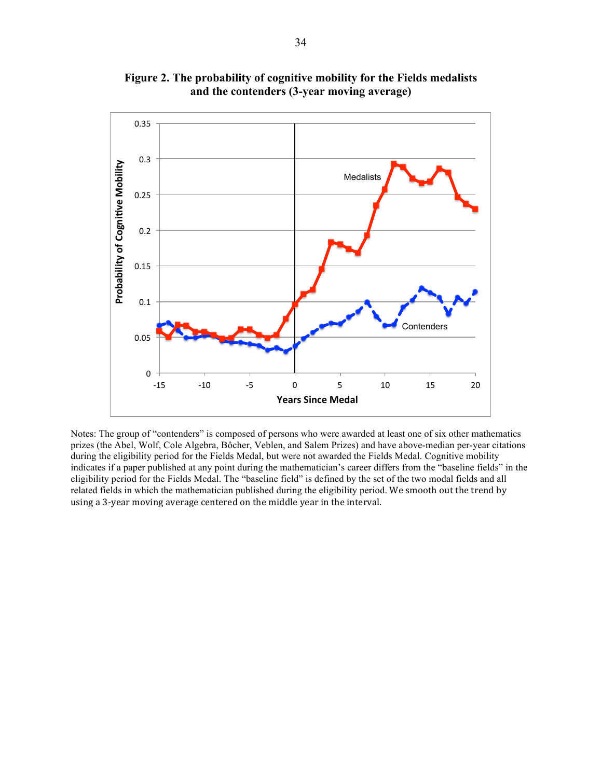

**Figure 2. The probability of cognitive mobility for the Fields medalists and the contenders (3-year moving average)**

Notes: The group of "contenders" is composed of persons who were awarded at least one of six other mathematics prizes (the Abel, Wolf, Cole Algebra, Bôcher, Veblen, and Salem Prizes) and have above-median per-year citations during the eligibility period for the Fields Medal, but were not awarded the Fields Medal. Cognitive mobility indicates if a paper published at any point during the mathematician's career differs from the "baseline fields" in the eligibility period for the Fields Medal. The "baseline field" is defined by the set of the two modal fields and all related fields in which the mathematician published during the eligibility period. We smooth out the trend by using a 3-year moving average centered on the middle year in the interval.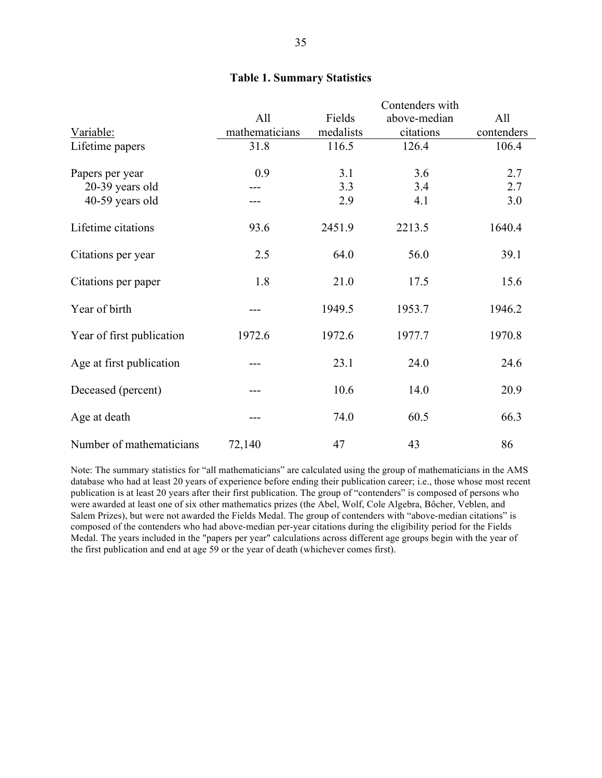|                           |                | Contenders with |              |            |
|---------------------------|----------------|-----------------|--------------|------------|
|                           | All            | Fields          | above-median | All        |
| Variable:                 | mathematicians | medalists       | citations    | contenders |
| Lifetime papers           | 31.8           | 116.5           | 126.4        | 106.4      |
| Papers per year           | 0.9            | 3.1             | 3.6          | 2.7        |
| 20-39 years old           |                | 3.3             | 3.4          | 2.7        |
| 40-59 years old           |                | 2.9             | 4.1          | 3.0        |
| Lifetime citations        | 93.6           | 2451.9          | 2213.5       | 1640.4     |
| Citations per year        | 2.5            | 64.0            | 56.0         | 39.1       |
| Citations per paper       | 1.8            | 21.0            | 17.5         | 15.6       |
| Year of birth             |                | 1949.5          | 1953.7       | 1946.2     |
| Year of first publication | 1972.6         | 1972.6          | 1977.7       | 1970.8     |
| Age at first publication  |                | 23.1            | 24.0         | 24.6       |
| Deceased (percent)        |                | 10.6            | 14.0         | 20.9       |
| Age at death              |                | 74.0            | 60.5         | 66.3       |
| Number of mathematicians  | 72,140         | 47              | 43           | 86         |

Note: The summary statistics for "all mathematicians" are calculated using the group of mathematicians in the AMS database who had at least 20 years of experience before ending their publication career; i.e., those whose most recent publication is at least 20 years after their first publication. The group of "contenders" is composed of persons who were awarded at least one of six other mathematics prizes (the Abel, Wolf, Cole Algebra, Bôcher, Veblen, and Salem Prizes), but were not awarded the Fields Medal. The group of contenders with "above-median citations" is composed of the contenders who had above-median per-year citations during the eligibility period for the Fields Medal. The years included in the "papers per year" calculations across different age groups begin with the year of the first publication and end at age 59 or the year of death (whichever comes first).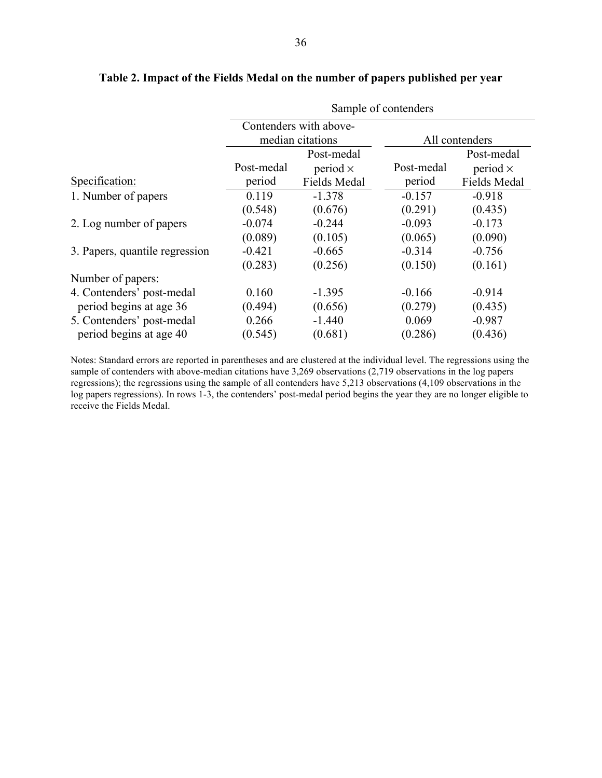|                                | Sample of contenders |                        |                |                     |
|--------------------------------|----------------------|------------------------|----------------|---------------------|
|                                |                      | Contenders with above- |                |                     |
|                                | median citations     |                        | All contenders |                     |
|                                |                      | Post-medal             |                | Post-medal          |
|                                | Post-medal           | period $\times$        | Post-medal     | period $\times$     |
| Specification:                 | period               | <b>Fields Medal</b>    | period         | <b>Fields Medal</b> |
| 1. Number of papers            | 0.119                | $-1.378$               | $-0.157$       | $-0.918$            |
|                                | (0.548)              | (0.676)                | (0.291)        | (0.435)             |
| 2. Log number of papers        | $-0.074$             | $-0.244$               | $-0.093$       | $-0.173$            |
|                                | (0.089)              | (0.105)                | (0.065)        | (0.090)             |
| 3. Papers, quantile regression | $-0.421$             | $-0.665$               | $-0.314$       | $-0.756$            |
|                                | (0.283)              | (0.256)                | (0.150)        | (0.161)             |
| Number of papers:              |                      |                        |                |                     |
| 4. Contenders' post-medal      | 0.160                | $-1.395$               | $-0.166$       | $-0.914$            |
| period begins at age 36        | (0.494)              | (0.656)                | (0.279)        | (0.435)             |
| 5. Contenders' post-medal      | 0.266                | $-1.440$               | 0.069          | $-0.987$            |
| period begins at age 40        | (0.545)              | (0.681)                | (0.286)        | (0.436)             |
|                                |                      |                        |                |                     |

# **Table 2. Impact of the Fields Medal on the number of papers published per year**

Notes: Standard errors are reported in parentheses and are clustered at the individual level. The regressions using the sample of contenders with above-median citations have 3,269 observations (2,719 observations in the log papers regressions); the regressions using the sample of all contenders have 5,213 observations (4,109 observations in the log papers regressions). In rows 1-3, the contenders' post-medal period begins the year they are no longer eligible to receive the Fields Medal.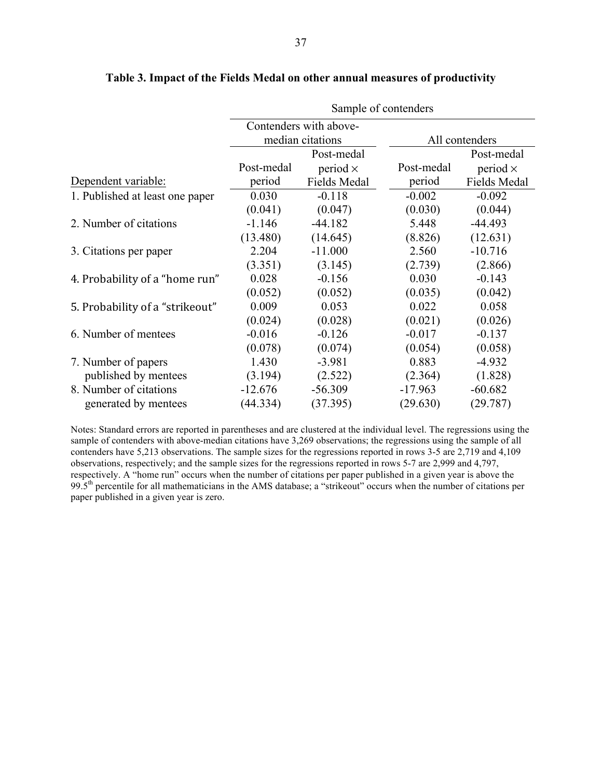|                                 | Sample of contenders           |                        |            |                     |  |
|---------------------------------|--------------------------------|------------------------|------------|---------------------|--|
|                                 |                                | Contenders with above- |            |                     |  |
|                                 | median citations<br>Post-medal |                        |            | All contenders      |  |
|                                 |                                |                        |            | Post-medal          |  |
|                                 | Post-medal                     | period $\times$        | Post-medal | period $\times$     |  |
| Dependent variable:             | period                         | Fields Medal           | period     | <b>Fields Medal</b> |  |
| 1. Published at least one paper | 0.030                          | $-0.118$               | $-0.002$   | $-0.092$            |  |
|                                 | (0.041)                        | (0.047)                | (0.030)    | (0.044)             |  |
| 2. Number of citations          | $-1.146$                       | $-44.182$              | 5.448      | $-44.493$           |  |
|                                 | (13.480)                       | (14.645)               | (8.826)    | (12.631)            |  |
| 3. Citations per paper          | 2.204                          | $-11.000$              | 2.560      | $-10.716$           |  |
|                                 | (3.351)                        | (3.145)                | (2.739)    | (2.866)             |  |
| 4. Probability of a "home run"  | 0.028                          | $-0.156$               | 0.030      | $-0.143$            |  |
|                                 | (0.052)                        | (0.052)                | (0.035)    | (0.042)             |  |
| 5. Probability of a "strikeout" | 0.009                          | 0.053                  | 0.022      | 0.058               |  |
|                                 | (0.024)                        | (0.028)                | (0.021)    | (0.026)             |  |
| 6. Number of mentees            | $-0.016$                       | $-0.126$               | $-0.017$   | $-0.137$            |  |
|                                 | (0.078)                        | (0.074)                | (0.054)    | (0.058)             |  |
| 7. Number of papers             | 1.430                          | $-3.981$               | 0.883      | $-4.932$            |  |
| published by mentees            | (3.194)                        | (2.522)                | (2.364)    | (1.828)             |  |
| 8. Number of citations          | $-12.676$                      | $-56.309$              | $-17.963$  | $-60.682$           |  |
| generated by mentees            | (44.334)                       | (37.395)               | (29.630)   | (29.787)            |  |

# **Table 3. Impact of the Fields Medal on other annual measures of productivity**

Notes: Standard errors are reported in parentheses and are clustered at the individual level. The regressions using the sample of contenders with above-median citations have 3,269 observations; the regressions using the sample of all contenders have 5,213 observations. The sample sizes for the regressions reported in rows 3-5 are 2,719 and 4,109 observations, respectively; and the sample sizes for the regressions reported in rows 5-7 are 2,999 and 4,797, respectively. A "home run" occurs when the number of citations per paper published in a given year is above the 99.5th percentile for all mathematicians in the AMS database; a "strikeout" occurs when the number of citations per paper published in a given year is zero.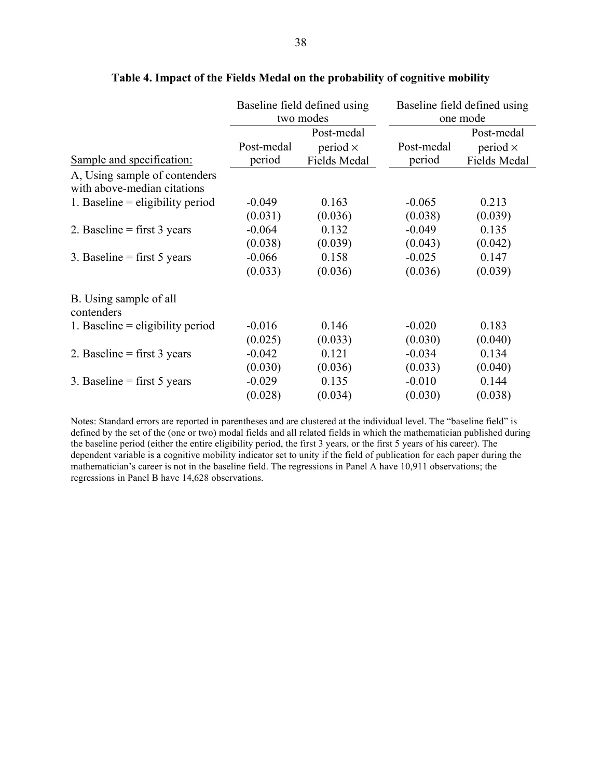|                                                              | Baseline field defined using<br>two modes |                     | Baseline field defined using<br>one mode |                 |
|--------------------------------------------------------------|-------------------------------------------|---------------------|------------------------------------------|-----------------|
|                                                              | Post-medal                                |                     |                                          | Post-medal      |
|                                                              | Post-medal                                | period $\times$     | Post-medal                               | period $\times$ |
| Sample and specification:                                    | period                                    | <b>Fields Medal</b> | period                                   | Fields Medal    |
| A, Using sample of contenders<br>with above-median citations |                                           |                     |                                          |                 |
| 1. Baseline $=$ eligibility period                           | $-0.049$                                  | 0.163               | $-0.065$                                 | 0.213           |
|                                                              | (0.031)                                   | (0.036)             | (0.038)                                  | (0.039)         |
| 2. Baseline = first $3$ years                                | $-0.064$                                  | 0.132               | $-0.049$                                 | 0.135           |
|                                                              | (0.038)                                   | (0.039)             | (0.043)                                  | (0.042)         |
| 3. Baseline = first $5$ years                                | $-0.066$                                  | 0.158               | $-0.025$                                 | 0.147           |
|                                                              | (0.033)                                   | (0.036)             | (0.036)                                  | (0.039)         |
| B. Using sample of all<br>contenders                         |                                           |                     |                                          |                 |
| 1. Baseline $=$ eligibility period                           | $-0.016$                                  | 0.146               | $-0.020$                                 | 0.183           |
|                                                              | (0.025)                                   | (0.033)             | (0.030)                                  | (0.040)         |
| 2. Baseline = first $3$ years                                | $-0.042$                                  | 0.121               | $-0.034$                                 | 0.134           |
|                                                              | (0.030)                                   | (0.036)             | (0.033)                                  | (0.040)         |
| 3. Baseline = first $5$ years                                | $-0.029$                                  | 0.135               | $-0.010$                                 | 0.144           |
|                                                              | (0.028)                                   | (0.034)             | (0.030)                                  | (0.038)         |

# **Table 4. Impact of the Fields Medal on the probability of cognitive mobility**

Notes: Standard errors are reported in parentheses and are clustered at the individual level. The "baseline field" is defined by the set of the (one or two) modal fields and all related fields in which the mathematician published during the baseline period (either the entire eligibility period, the first 3 years, or the first 5 years of his career). The dependent variable is a cognitive mobility indicator set to unity if the field of publication for each paper during the mathematician's career is not in the baseline field. The regressions in Panel A have 10,911 observations; the regressions in Panel B have 14,628 observations.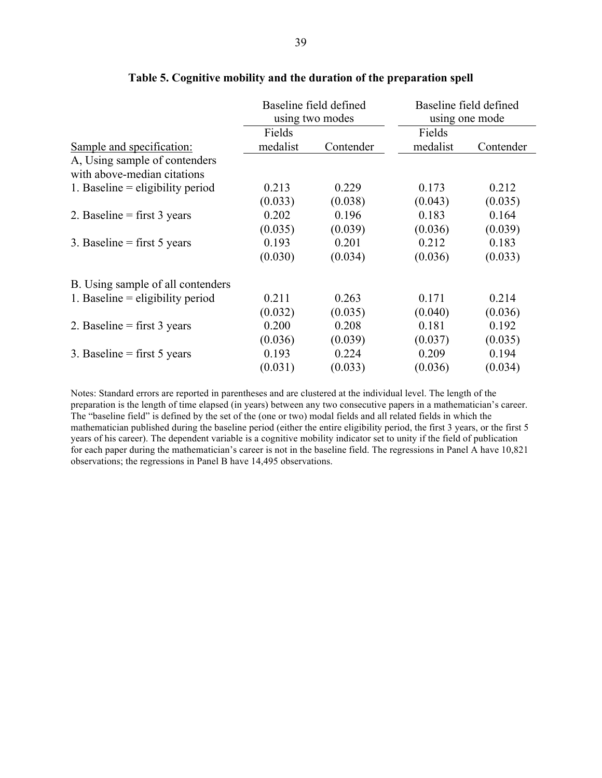| Baseline field defined<br>using two modes |           | Baseline field defined<br>using one mode |           |
|-------------------------------------------|-----------|------------------------------------------|-----------|
| Fields                                    |           | Fields                                   |           |
| medalist                                  | Contender | medalist                                 | Contender |
|                                           |           |                                          |           |
| 0.213                                     | 0.229     | 0.173                                    | 0.212     |
| (0.033)                                   | (0.038)   | (0.043)                                  | (0.035)   |
| 0.202                                     | 0.196     | 0.183                                    | 0.164     |
| (0.035)                                   | (0.039)   | (0.036)                                  | (0.039)   |
| 0.193                                     | 0.201     | 0.212                                    | 0.183     |
| (0.030)                                   | (0.034)   | (0.036)                                  | (0.033)   |
|                                           |           |                                          |           |
| 0.211                                     | 0.263     | 0.171                                    | 0.214     |
| (0.032)                                   | (0.035)   | (0.040)                                  | (0.036)   |
| 0.200                                     | 0.208     | 0.181                                    | 0.192     |
| (0.036)                                   | (0.039)   | (0.037)                                  | (0.035)   |
| 0.193                                     | 0.224     | 0.209                                    | 0.194     |
| (0.031)                                   | (0.033)   | (0.036)                                  | (0.034)   |
|                                           |           |                                          |           |

### **Table 5. Cognitive mobility and the duration of the preparation spell**

Notes: Standard errors are reported in parentheses and are clustered at the individual level. The length of the preparation is the length of time elapsed (in years) between any two consecutive papers in a mathematician's career. The "baseline field" is defined by the set of the (one or two) modal fields and all related fields in which the mathematician published during the baseline period (either the entire eligibility period, the first 3 years, or the first 5 years of his career). The dependent variable is a cognitive mobility indicator set to unity if the field of publication for each paper during the mathematician's career is not in the baseline field. The regressions in Panel A have 10,821 observations; the regressions in Panel B have 14,495 observations.